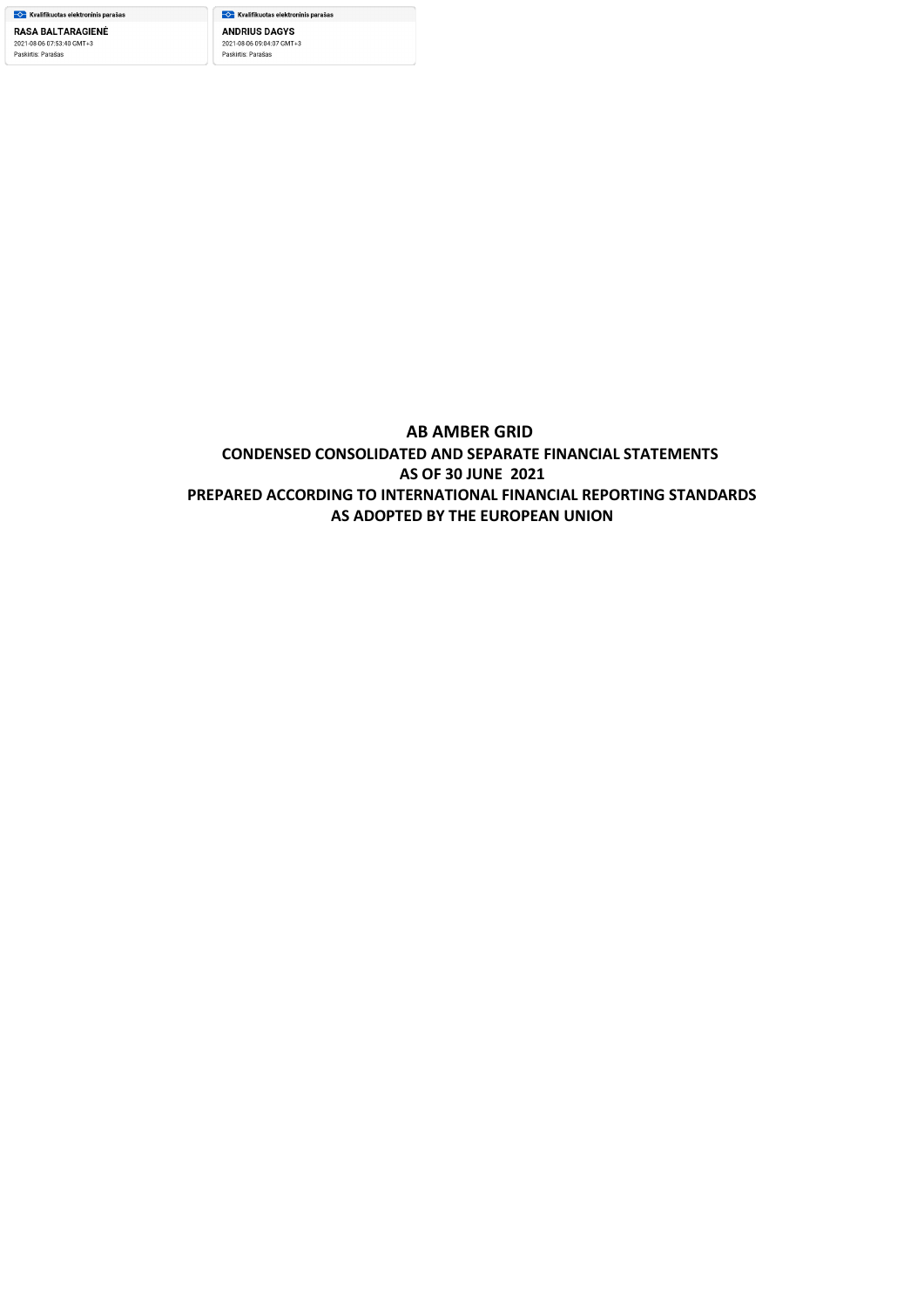<mark>─◇─</mark> Kvalifikuotas elektroninis parašas **ANDRIUS DAGYS** 2021-08-06 09:04:07 GMT+3 Paskirtis: Parašas

## **AB AMBER GRID CONDENSED CONSOLIDATED AND SEPARATE FINANCIAL STATEMENTS AS OF 30 JUNE 2021 PREPARED ACCORDING TO INTERNATIONAL FINANCIAL REPORTING STANDARDS AS ADOPTED BY THE EUROPEAN UNION**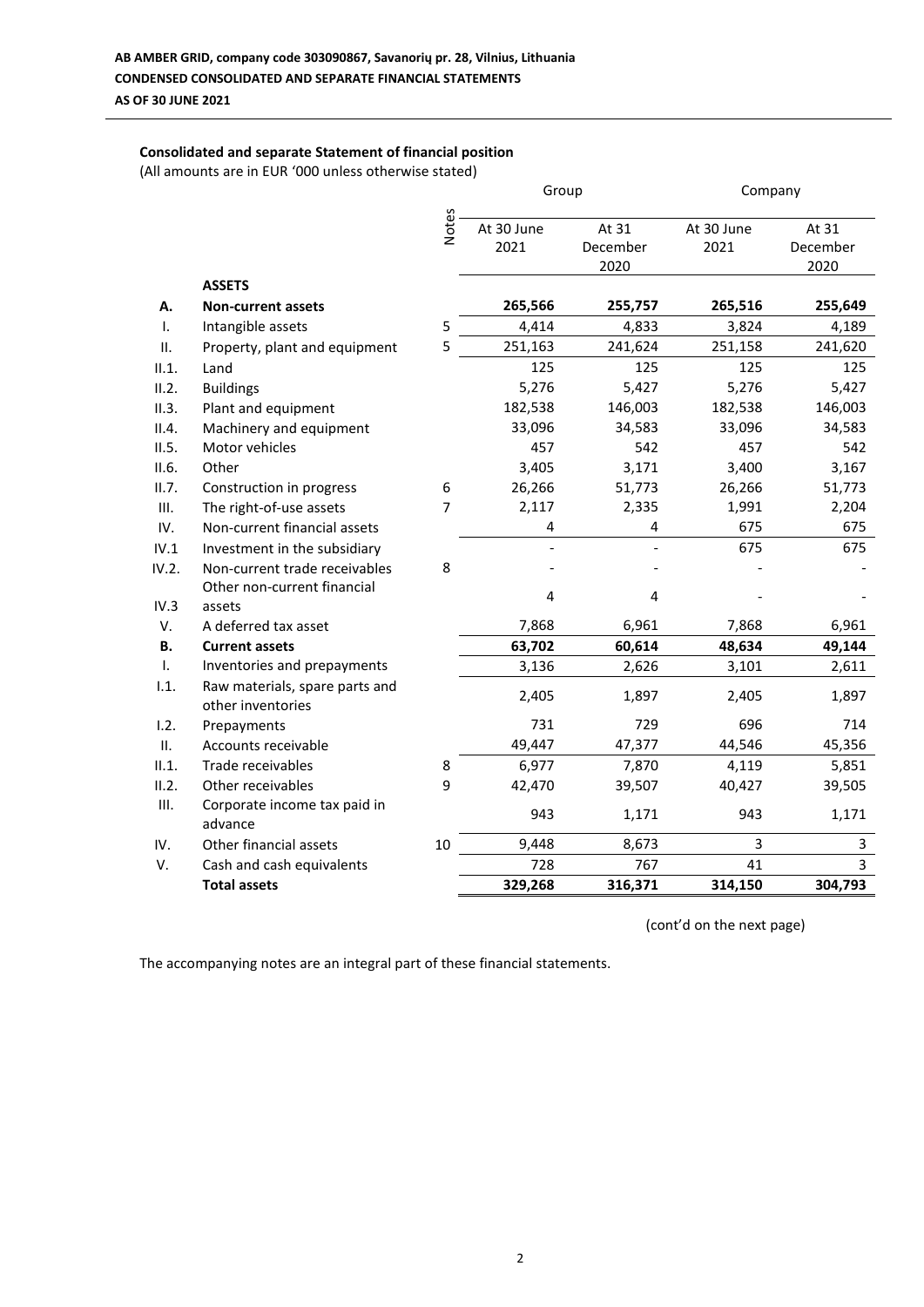## **Consolidated and separate Statement of financial position**

(All amounts are in EUR '000 unless otherwise stated)

|                |                                                     |                | Group      |          |            | Company  |  |
|----------------|-----------------------------------------------------|----------------|------------|----------|------------|----------|--|
|                |                                                     | Notes          | At 30 June | At 31    | At 30 June | At 31    |  |
|                |                                                     |                | 2021       | December | 2021       | December |  |
|                |                                                     |                |            | 2020     |            | 2020     |  |
|                | <b>ASSETS</b>                                       |                |            |          |            |          |  |
| А.             | <b>Non-current assets</b>                           |                | 265,566    | 255,757  | 265,516    | 255,649  |  |
| $\mathbf{I}$ . | Intangible assets                                   | 5              | 4,414      | 4,833    | 3,824      | 4,189    |  |
| Ш.             | Property, plant and equipment                       | 5              | 251,163    | 241,624  | 251,158    | 241,620  |  |
| II.1.          | Land                                                |                | 125        | 125      | 125        | 125      |  |
| II.2.          | <b>Buildings</b>                                    |                | 5,276      | 5,427    | 5,276      | 5,427    |  |
| II.3.          | Plant and equipment                                 |                | 182,538    | 146,003  | 182,538    | 146,003  |  |
| II.4.          | Machinery and equipment                             |                | 33,096     | 34,583   | 33,096     | 34,583   |  |
| II.5.          | Motor vehicles                                      |                | 457        | 542      | 457        | 542      |  |
| II.6.          | Other                                               |                | 3,405      | 3,171    | 3,400      | 3,167    |  |
| II.7.          | Construction in progress                            | 6              | 26,266     | 51,773   | 26,266     | 51,773   |  |
| III.           | The right-of-use assets                             | $\overline{7}$ | 2,117      | 2,335    | 1,991      | 2,204    |  |
| IV.            | Non-current financial assets                        |                | 4          | 4        | 675        | 675      |  |
| IV.1           | Investment in the subsidiary                        |                |            |          | 675        | 675      |  |
| IV.2.          | Non-current trade receivables                       | 8              |            |          |            |          |  |
|                | Other non-current financial                         |                | 4          | 4        |            |          |  |
| IV.3           | assets                                              |                |            |          |            |          |  |
| V.             | A deferred tax asset                                |                | 7,868      | 6,961    | 7,868      | 6,961    |  |
| <b>B.</b>      | <b>Current assets</b>                               |                | 63,702     | 60,614   | 48,634     | 49,144   |  |
| $\mathbf{I}$ . | Inventories and prepayments                         |                | 3,136      | 2,626    | 3,101      | 2,611    |  |
| 1.1.           | Raw materials, spare parts and<br>other inventories |                | 2,405      | 1,897    | 2,405      | 1,897    |  |
| 1.2.           | Prepayments                                         |                | 731        | 729      | 696        | 714      |  |
| II.            | Accounts receivable                                 |                | 49,447     | 47,377   | 44,546     | 45,356   |  |
| II.1.          | Trade receivables                                   | 8              | 6,977      | 7,870    | 4,119      | 5,851    |  |
| II.2.          | Other receivables                                   | 9              | 42,470     | 39,507   | 40,427     | 39,505   |  |
| III.           | Corporate income tax paid in<br>advance             |                | 943        | 1,171    | 943        | 1,171    |  |
| IV.            | Other financial assets                              | 10             | 9,448      | 8,673    | 3          | 3        |  |
| V.             | Cash and cash equivalents                           |                | 728        | 767      | 41         | 3        |  |
|                | <b>Total assets</b>                                 |                | 329,268    | 316,371  | 314,150    | 304,793  |  |

(cont'd on the next page)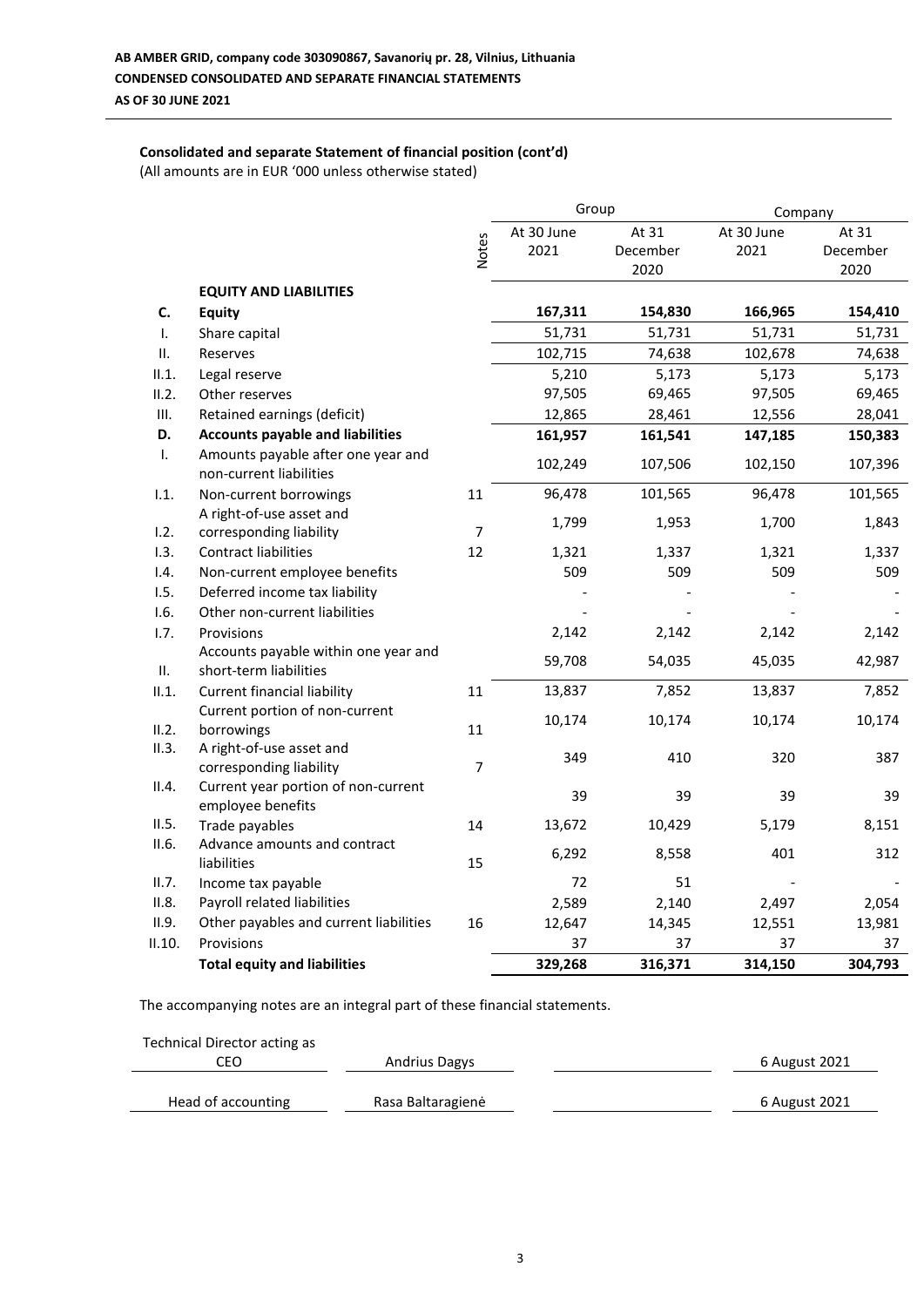## **Consolidated and separate Statement of financial position (cont'd)**

(All amounts are in EUR '000 unless otherwise stated)

|        |                                                                |                | Group      |          | Company    |          |
|--------|----------------------------------------------------------------|----------------|------------|----------|------------|----------|
|        |                                                                |                | At 30 June | At 31    | At 30 June | At 31    |
|        |                                                                | <b>Notes</b>   | 2021       | December | 2021       | December |
|        |                                                                |                |            | 2020     |            | 2020     |
|        | <b>EQUITY AND LIABILITIES</b>                                  |                |            |          |            |          |
| C.     | <b>Equity</b>                                                  |                | 167,311    | 154,830  | 166,965    | 154,410  |
| T.     | Share capital                                                  |                | 51,731     | 51,731   | 51,731     | 51,731   |
| ΙΙ.    | Reserves                                                       |                | 102,715    | 74,638   | 102,678    | 74,638   |
| II.1.  | Legal reserve                                                  |                | 5,210      | 5,173    | 5,173      | 5,173    |
| II.2.  | Other reserves                                                 |                | 97,505     | 69,465   | 97,505     | 69,465   |
| Ш.     | Retained earnings (deficit)                                    |                | 12,865     | 28,461   | 12,556     | 28,041   |
| D.     | <b>Accounts payable and liabilities</b>                        |                | 161,957    | 161,541  | 147,185    | 150,383  |
| T.     | Amounts payable after one year and<br>non-current liabilities  |                | 102,249    | 107,506  | 102,150    | 107,396  |
| 1.1.   | Non-current borrowings                                         | 11             | 96,478     | 101,565  | 96,478     | 101,565  |
|        | A right-of-use asset and                                       |                | 1,799      | 1,953    | 1,700      | 1,843    |
| 1.2.   | corresponding liability                                        | $\overline{7}$ |            |          |            |          |
| 1.3.   | <b>Contract liabilities</b>                                    | 12             | 1,321      | 1,337    | 1,321      | 1,337    |
| 1.4.   | Non-current employee benefits                                  |                | 509        | 509      | 509        | 509      |
| 1.5.   | Deferred income tax liability                                  |                |            |          |            |          |
| 1.6.   | Other non-current liabilities                                  |                |            |          |            |          |
| 1.7.   | Provisions                                                     |                | 2,142      | 2,142    | 2,142      | 2,142    |
| ΙΙ.    | Accounts payable within one year and<br>short-term liabilities |                | 59,708     | 54,035   | 45,035     | 42,987   |
| II.1.  | <b>Current financial liability</b>                             | 11             | 13,837     | 7,852    | 13,837     | 7,852    |
|        | Current portion of non-current                                 |                | 10,174     | 10,174   | 10,174     | 10,174   |
| II.2.  | borrowings                                                     | 11             |            |          |            |          |
| II.3.  | A right-of-use asset and<br>corresponding liability            | 7              | 349        | 410      | 320        | 387      |
| II.4.  | Current year portion of non-current<br>employee benefits       |                | 39         | 39       | 39         | 39       |
| II.5.  | Trade payables                                                 | 14             | 13,672     | 10,429   | 5,179      | 8,151    |
| II.6.  | Advance amounts and contract                                   |                |            |          |            |          |
|        | liabilities                                                    | 15             | 6,292      | 8,558    | 401        | 312      |
| II.7.  | Income tax payable                                             |                | 72         | 51       |            |          |
| II.8.  | Payroll related liabilities                                    |                | 2,589      | 2,140    | 2,497      | 2,054    |
| II.9.  | Other payables and current liabilities                         | 16             | 12,647     | 14,345   | 12,551     | 13,981   |
| II.10. | Provisions                                                     |                | 37         | 37       | 37         | 37       |
|        | <b>Total equity and liabilities</b>                            |                | 329,268    | 316,371  | 314,150    | 304,793  |

| Technical Director acting as |                      |               |
|------------------------------|----------------------|---------------|
| CEO                          | <b>Andrius Dagys</b> | 6 August 2021 |
| Head of accounting           | Rasa Baltaragienė    | 6 August 2021 |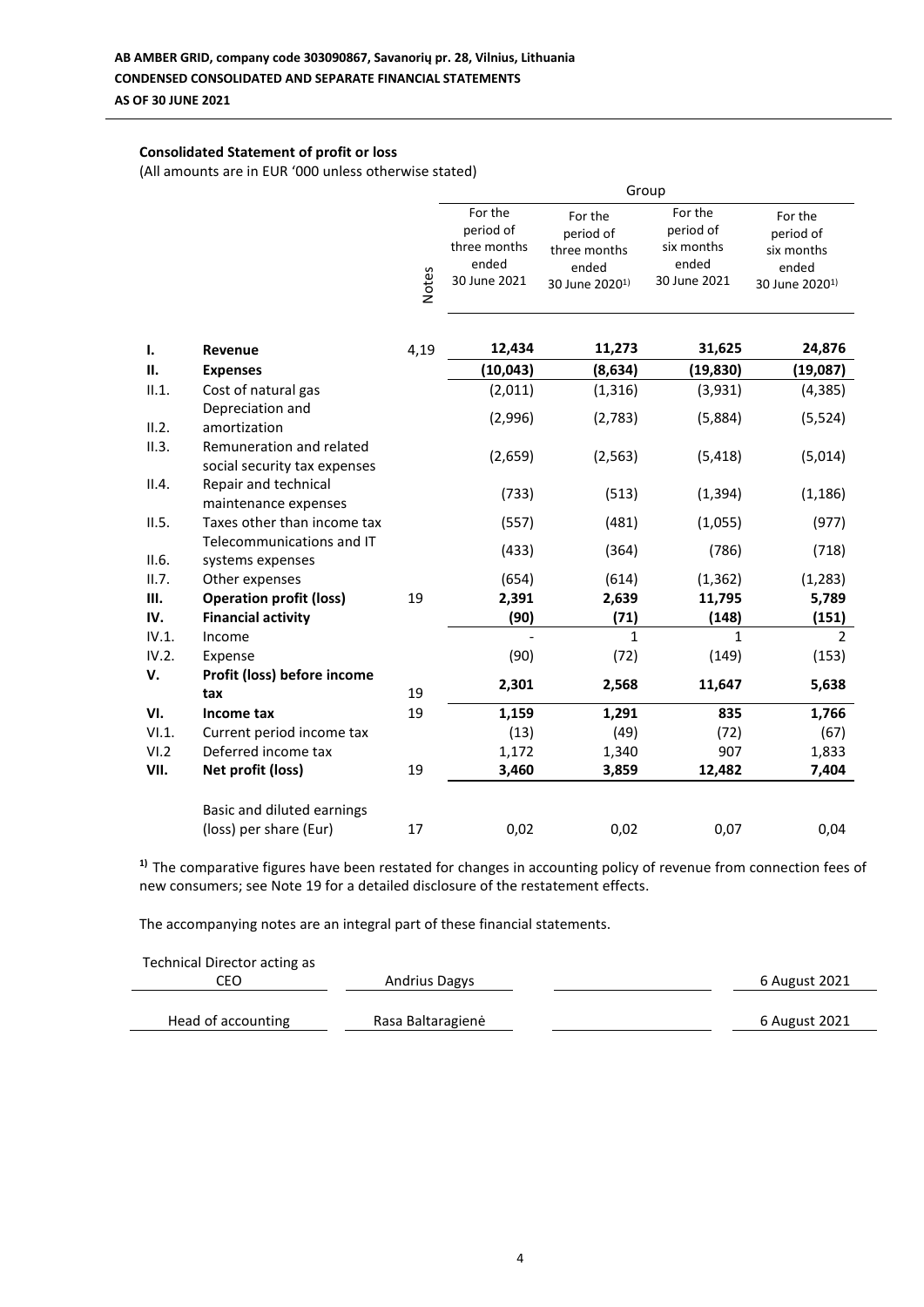## **Consolidated Statement of profit or loss**

(All amounts are in EUR '000 unless otherwise stated)

|             |                                                          |              | Group                                                         |                                                                             |                                                             |                                                                           |  |
|-------------|----------------------------------------------------------|--------------|---------------------------------------------------------------|-----------------------------------------------------------------------------|-------------------------------------------------------------|---------------------------------------------------------------------------|--|
|             |                                                          | <b>Notes</b> | For the<br>period of<br>three months<br>ended<br>30 June 2021 | For the<br>period of<br>three months<br>ended<br>30 June 2020 <sup>1)</sup> | For the<br>period of<br>six months<br>ended<br>30 June 2021 | For the<br>period of<br>six months<br>ended<br>30 June 2020 <sup>1)</sup> |  |
| Ι.          | Revenue                                                  | 4,19         | 12,434                                                        | 11,273                                                                      | 31,625                                                      | 24,876                                                                    |  |
| II.         | <b>Expenses</b>                                          |              | (10, 043)                                                     | (8,634)                                                                     | (19, 830)                                                   | (19,087)                                                                  |  |
| II.1.       | Cost of natural gas                                      |              | (2,011)                                                       | (1, 316)                                                                    | (3,931)                                                     | (4, 385)                                                                  |  |
| II.2.       | Depreciation and<br>amortization                         |              | (2,996)                                                       | (2,783)                                                                     | (5,884)                                                     | (5, 524)                                                                  |  |
| II.3.       | Remuneration and related<br>social security tax expenses |              | (2,659)                                                       | (2, 563)                                                                    | (5, 418)                                                    | (5,014)                                                                   |  |
| II.4.       | Repair and technical<br>maintenance expenses             |              | (733)                                                         | (513)                                                                       | (1, 394)                                                    | (1, 186)                                                                  |  |
| II.5.       | Taxes other than income tax                              |              | (557)                                                         | (481)                                                                       | (1,055)                                                     | (977)                                                                     |  |
| II.6.       | Telecommunications and IT<br>systems expenses            |              | (433)                                                         | (364)                                                                       | (786)                                                       | (718)                                                                     |  |
| II.7.       | Other expenses                                           |              | (654)                                                         | (614)                                                                       | (1, 362)                                                    | (1, 283)                                                                  |  |
| Ш.          | <b>Operation profit (loss)</b>                           | 19           | 2,391                                                         | 2,639                                                                       | 11,795                                                      | 5,789                                                                     |  |
| IV.         | <b>Financial activity</b>                                |              | (90)                                                          | (71)                                                                        | (148)                                                       | (151)                                                                     |  |
| IV.1.       | Income                                                   |              |                                                               | 1                                                                           | 1                                                           | $\mathcal{P}$                                                             |  |
| IV.2.<br>v. | Expense<br>Profit (loss) before income                   |              | (90)                                                          | (72)                                                                        | (149)                                                       | (153)                                                                     |  |
|             | tax                                                      | 19           | 2,301                                                         | 2,568                                                                       | 11,647                                                      | 5,638                                                                     |  |
| VI.         | Income tax                                               | 19           | 1,159                                                         | 1,291                                                                       | 835                                                         | 1,766                                                                     |  |
| VI.1.       | Current period income tax                                |              | (13)                                                          | (49)                                                                        | (72)                                                        | (67)                                                                      |  |
| VI.2        | Deferred income tax                                      |              | 1,172                                                         | 1,340                                                                       | 907                                                         | 1,833                                                                     |  |
| VII.        | Net profit (loss)                                        | 19           | 3,460                                                         | 3,859                                                                       | 12,482                                                      | 7,404                                                                     |  |
|             | Basic and diluted earnings                               |              |                                                               |                                                                             |                                                             |                                                                           |  |
|             | (loss) per share (Eur)                                   | 17           | 0,02                                                          | 0,02                                                                        | 0,07                                                        | 0,04                                                                      |  |

**1)** The comparative figures have been restated for changes in accounting policy of revenue from connection fees of new consumers; see Note 19 for a detailed disclosure of the restatement effects.

| Technical Director acting as |                      |               |
|------------------------------|----------------------|---------------|
| CEO                          | <b>Andrius Dagys</b> | 6 August 2021 |
| Head of accounting           | Rasa Baltaragienė    | 6 August 2021 |
|                              |                      |               |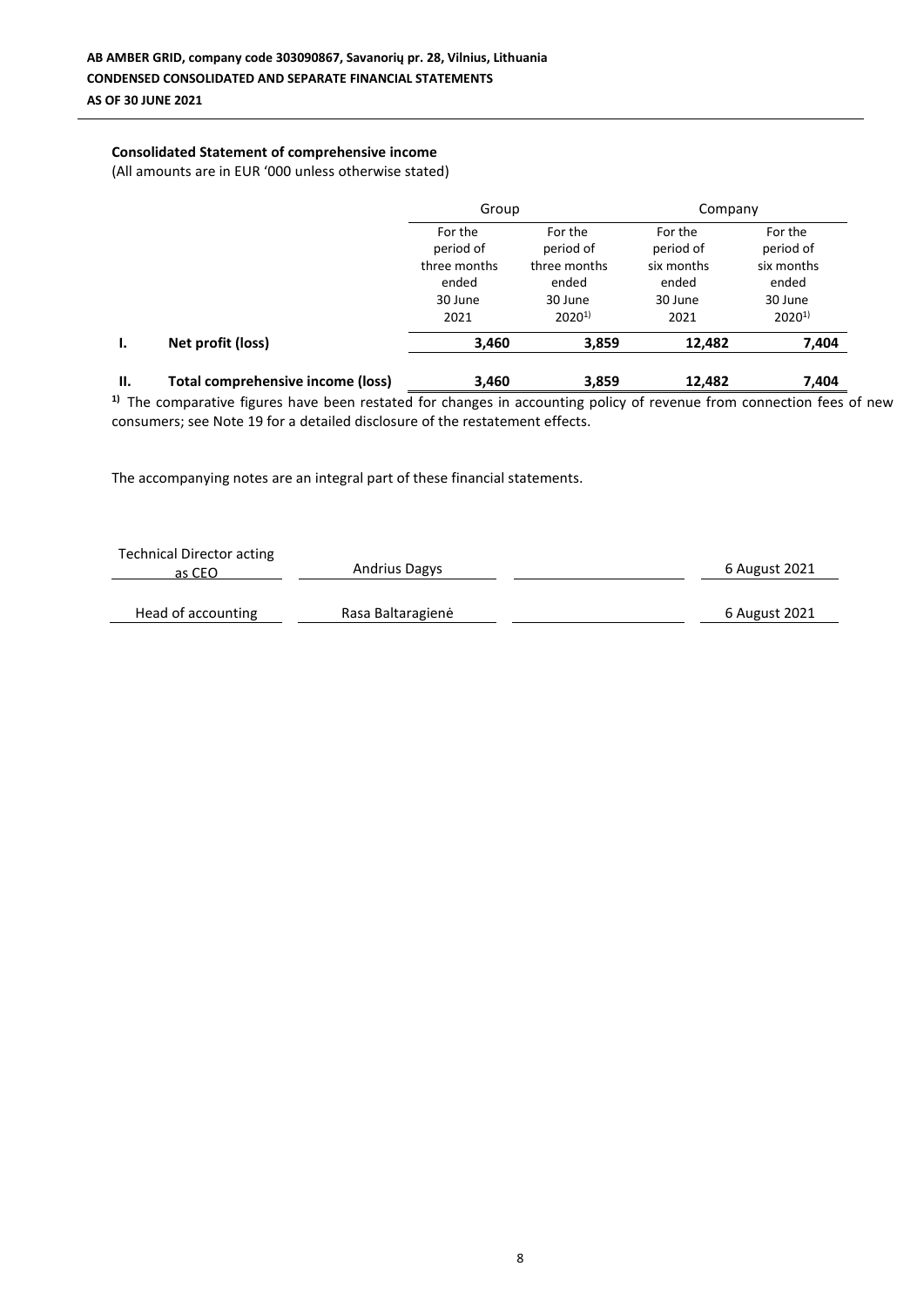## **Consolidated Statement of comprehensive income**

(All amounts are in EUR '000 unless otherwise stated)

|     |                                          | Group                                                            |                                                                        | Company                                                        |                                                                      |
|-----|------------------------------------------|------------------------------------------------------------------|------------------------------------------------------------------------|----------------------------------------------------------------|----------------------------------------------------------------------|
|     |                                          | For the<br>period of<br>three months<br>ended<br>30 June<br>2021 | For the<br>period of<br>three months<br>ended<br>30 June<br>$2020^{1}$ | For the<br>period of<br>six months<br>ended<br>30 June<br>2021 | For the<br>period of<br>six months<br>ended<br>30 June<br>$2020^{1}$ |
| Ι.  | Net profit (loss)                        | 3,460                                                            | 3,859                                                                  | 12,482                                                         | 7,404                                                                |
| II. | <b>Total comprehensive income (loss)</b> | 3,460                                                            | 3,859                                                                  | 12,482                                                         | 7,404                                                                |

<sup>1)</sup> The comparative figures have been restated for changes in accounting policy of revenue from connection fees of new consumers; see Note 19 for a detailed disclosure of the restatement effects.

| <b>Technical Director acting</b><br>as CEO | <b>Andrius Dagys</b> | 6 August 2021 |
|--------------------------------------------|----------------------|---------------|
| Head of accounting                         | Rasa Baltaragienė    | 6 August 2021 |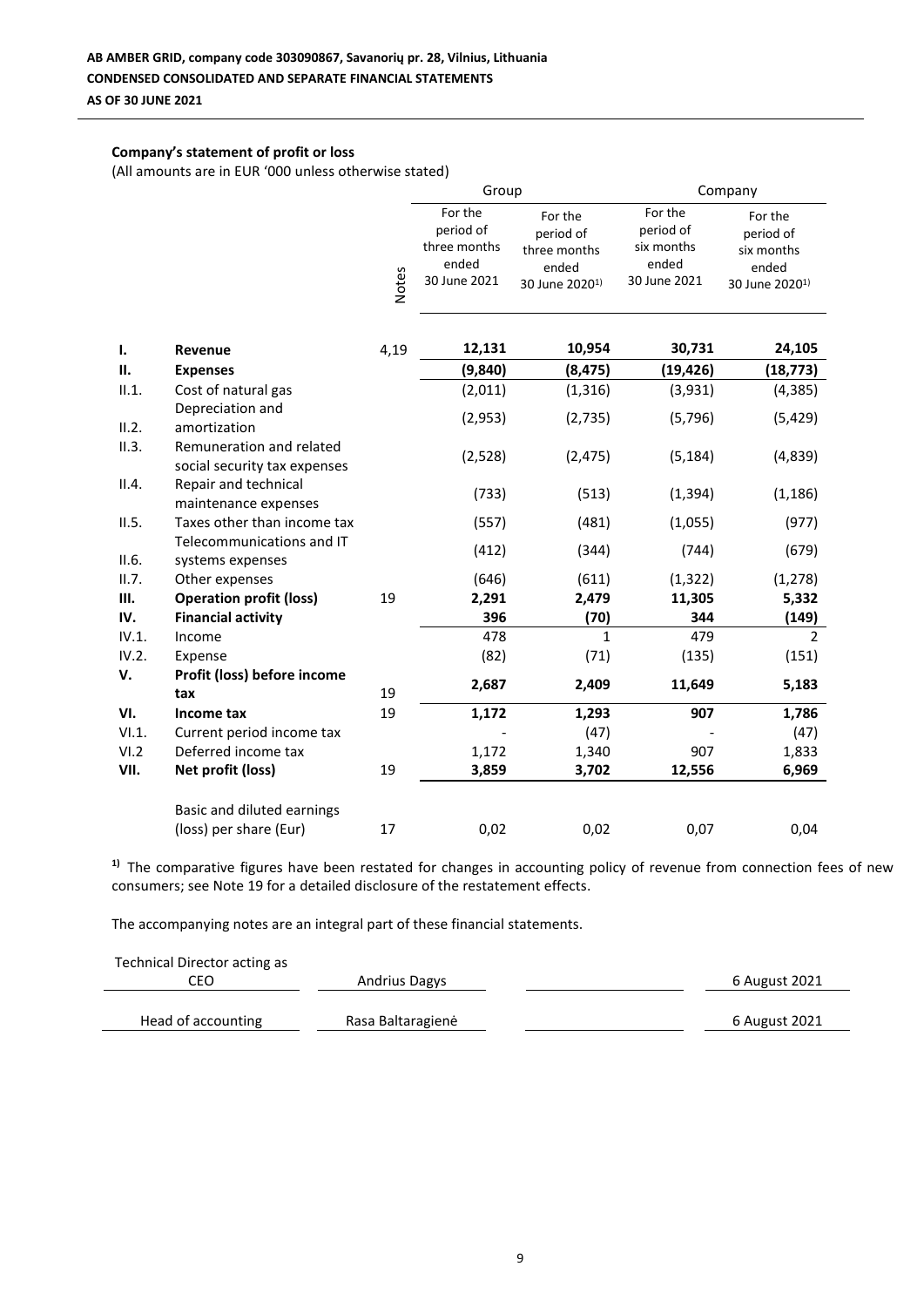## **Company's statement of profit or loss**

(All amounts are in EUR '000 unless otherwise stated)

|       |                                                          |              | Group                                                         |                                                                             | Company                                                     |                                                                           |  |
|-------|----------------------------------------------------------|--------------|---------------------------------------------------------------|-----------------------------------------------------------------------------|-------------------------------------------------------------|---------------------------------------------------------------------------|--|
|       |                                                          | <b>Notes</b> | For the<br>period of<br>three months<br>ended<br>30 June 2021 | For the<br>period of<br>three months<br>ended<br>30 June 2020 <sup>1)</sup> | For the<br>period of<br>six months<br>ended<br>30 June 2021 | For the<br>period of<br>six months<br>ended<br>30 June 2020 <sup>1)</sup> |  |
| Ι.    | Revenue                                                  | 4,19         | 12,131                                                        | 10,954                                                                      | 30,731                                                      | 24,105                                                                    |  |
| П.    | <b>Expenses</b>                                          |              | (9,840)                                                       | (8, 475)                                                                    | (19, 426)                                                   | (18, 773)                                                                 |  |
| II.1. | Cost of natural gas                                      |              | (2,011)                                                       | (1, 316)                                                                    | (3,931)                                                     | (4, 385)                                                                  |  |
| II.2. | Depreciation and<br>amortization                         |              | (2,953)                                                       | (2, 735)                                                                    | (5, 796)                                                    | (5, 429)                                                                  |  |
| II.3. | Remuneration and related<br>social security tax expenses |              | (2,528)                                                       | (2, 475)                                                                    | (5, 184)                                                    | (4,839)                                                                   |  |
| II.4. | Repair and technical<br>maintenance expenses             |              | (733)                                                         | (513)                                                                       | (1, 394)                                                    | (1, 186)                                                                  |  |
| II.5. | Taxes other than income tax                              |              | (557)                                                         | (481)                                                                       | (1,055)                                                     | (977)                                                                     |  |
| II.6. | Telecommunications and IT<br>systems expenses            |              | (412)                                                         | (344)                                                                       | (744)                                                       | (679)                                                                     |  |
| II.7. | Other expenses                                           |              | (646)                                                         | (611)                                                                       | (1, 322)                                                    | (1, 278)                                                                  |  |
| Ш.    | <b>Operation profit (loss)</b>                           | 19           | 2,291                                                         | 2,479                                                                       | 11,305                                                      | 5,332                                                                     |  |
| IV.   | <b>Financial activity</b>                                |              | 396                                                           | (70)                                                                        | 344                                                         | (149)                                                                     |  |
| IV.1. | Income                                                   |              | 478                                                           | $\mathbf{1}$                                                                | 479                                                         | $\overline{2}$                                                            |  |
| IV.2. | Expense                                                  |              | (82)                                                          | (71)                                                                        | (135)                                                       | (151)                                                                     |  |
| V.    | Profit (loss) before income<br>tax                       | 19           | 2,687                                                         | 2,409                                                                       | 11,649                                                      | 5,183                                                                     |  |
| VI.   | Income tax                                               | 19           | 1,172                                                         | 1,293                                                                       | 907                                                         | 1,786                                                                     |  |
| VI.1. | Current period income tax                                |              |                                                               | (47)                                                                        |                                                             | (47)                                                                      |  |
| VI.2  | Deferred income tax                                      |              | 1,172                                                         | 1,340                                                                       | 907                                                         | 1,833                                                                     |  |
| VII.  | Net profit (loss)                                        | 19           | 3,859                                                         | 3,702                                                                       | 12,556                                                      | 6,969                                                                     |  |
|       | Basic and diluted earnings                               |              |                                                               |                                                                             |                                                             |                                                                           |  |
|       | (loss) per share (Eur)                                   | 17           | 0,02                                                          | 0,02                                                                        | 0,07                                                        | 0,04                                                                      |  |

<sup>1)</sup> The comparative figures have been restated for changes in accounting policy of revenue from connection fees of new consumers; see Note 19 for a detailed disclosure of the restatement effects.

| Technical Director acting as |                      |               |
|------------------------------|----------------------|---------------|
| CEO                          | <b>Andrius Dagys</b> | 6 August 2021 |
|                              |                      |               |
| Head of accounting           | Rasa Baltaragienė    | 6 August 2021 |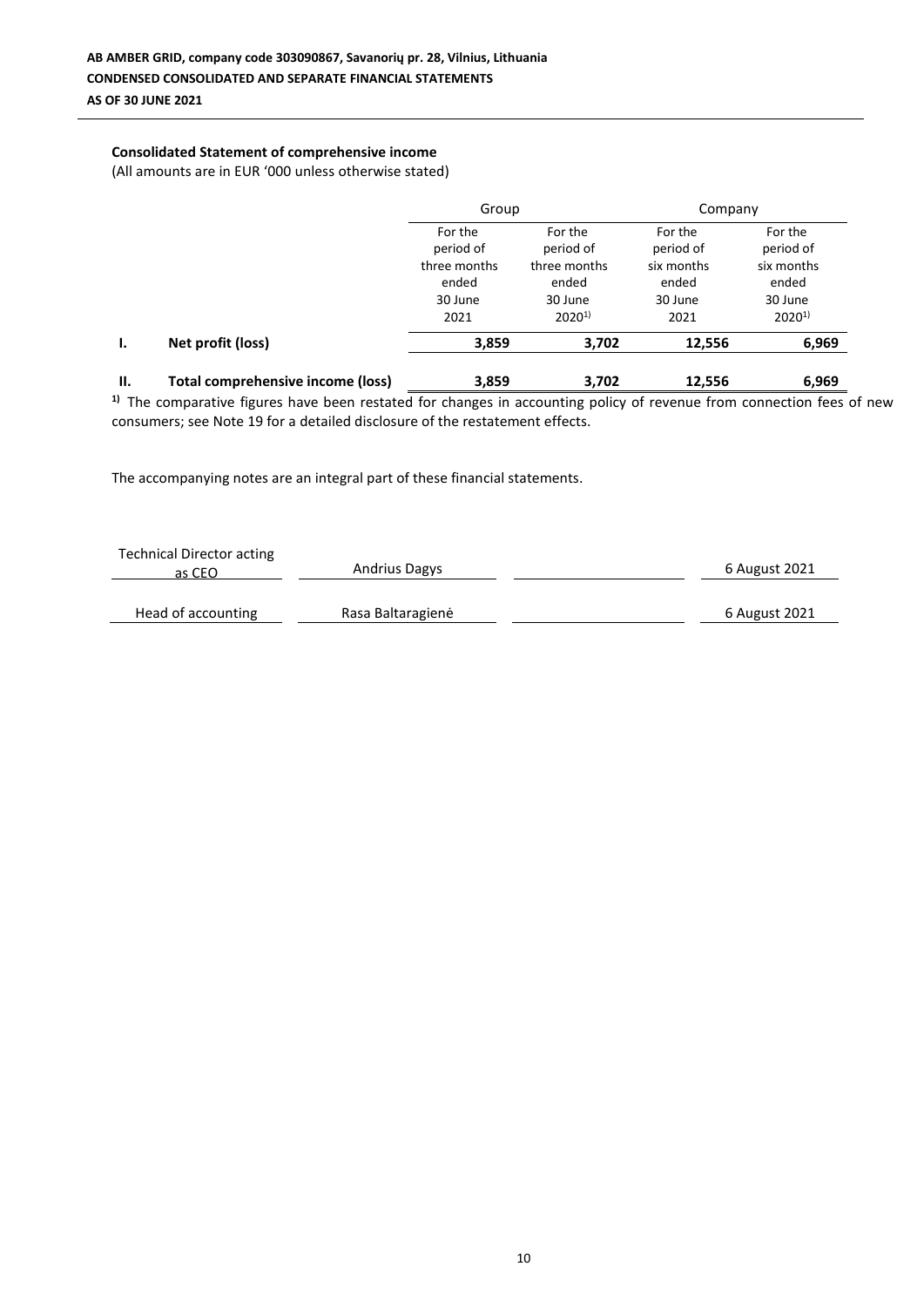## **Consolidated Statement of comprehensive income**

(All amounts are in EUR '000 unless otherwise stated)

|     |                                   | Group                                                            |                                                                        | Company                                                        |                                                                      |  |
|-----|-----------------------------------|------------------------------------------------------------------|------------------------------------------------------------------------|----------------------------------------------------------------|----------------------------------------------------------------------|--|
|     |                                   | For the<br>period of<br>three months<br>ended<br>30 June<br>2021 | For the<br>period of<br>three months<br>ended<br>30 June<br>$2020^{1}$ | For the<br>period of<br>six months<br>ended<br>30 June<br>2021 | For the<br>period of<br>six months<br>ended<br>30 June<br>$2020^{1}$ |  |
| Ι.  | Net profit (loss)                 | 3,859                                                            | 3,702                                                                  | 12,556                                                         | 6,969                                                                |  |
| II. | Total comprehensive income (loss) | 3,859                                                            | 3,702                                                                  | 12,556                                                         | 6,969                                                                |  |

<sup>1)</sup> The comparative figures have been restated for changes in accounting policy of revenue from connection fees of new consumers; see Note 19 for a detailed disclosure of the restatement effects.

| <b>Technical Director acting</b><br>as CEO | <b>Andrius Dagys</b> | 6 August 2021 |
|--------------------------------------------|----------------------|---------------|
| Head of accounting                         | Rasa Baltaragienė    | 6 August 2021 |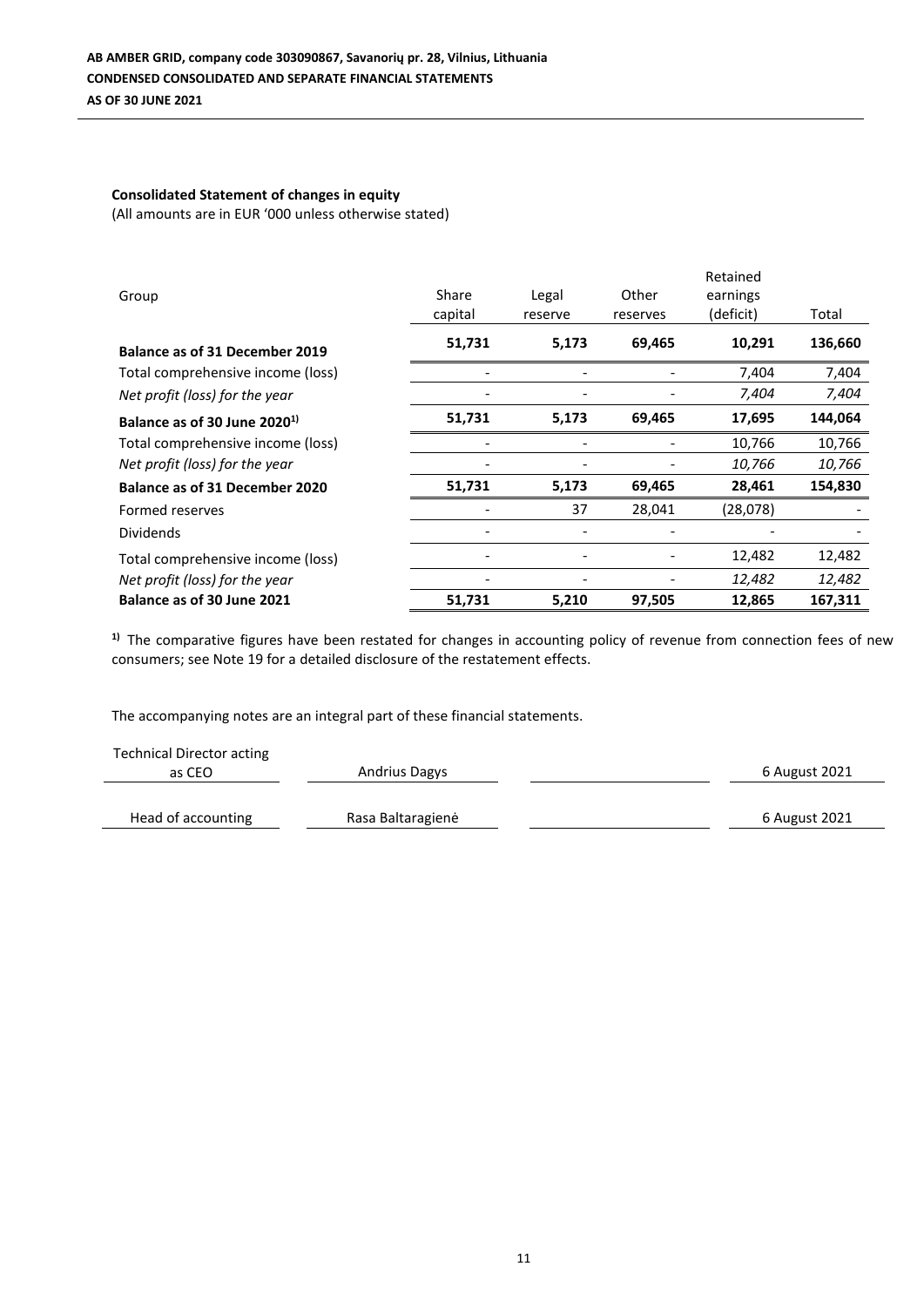# **Consolidated Statement of changes in equity**

(All amounts are in EUR '000 unless otherwise stated)

| Group                                    | Share<br>capital | Legal<br>reserve | Other<br>reserves | Retained<br>earnings<br>(deficit) | Total   |
|------------------------------------------|------------------|------------------|-------------------|-----------------------------------|---------|
| <b>Balance as of 31 December 2019</b>    | 51,731           | 5,173            | 69,465            | 10,291                            | 136,660 |
| Total comprehensive income (loss)        |                  |                  |                   | 7,404                             | 7,404   |
| Net profit (loss) for the year           |                  |                  |                   | 7,404                             | 7,404   |
| Balance as of 30 June 2020 <sup>1)</sup> | 51,731           | 5,173            | 69,465            | 17,695                            | 144,064 |
| Total comprehensive income (loss)        |                  |                  |                   | 10,766                            | 10,766  |
| Net profit (loss) for the year           |                  |                  |                   | 10,766                            | 10,766  |
| <b>Balance as of 31 December 2020</b>    | 51,731           | 5,173            | 69,465            | 28,461                            | 154,830 |
| Formed reserves                          |                  | 37               | 28,041            | (28,078)                          |         |
| <b>Dividends</b>                         |                  |                  |                   |                                   |         |
| Total comprehensive income (loss)        |                  |                  |                   | 12,482                            | 12,482  |
| Net profit (loss) for the year           |                  |                  |                   | 12,482                            | 12,482  |
| Balance as of 30 June 2021               | 51,731           | 5,210            | 97,505            | 12,865                            | 167,311 |

<sup>1)</sup> The comparative figures have been restated for changes in accounting policy of revenue from connection fees of new consumers; see Note 19 for a detailed disclosure of the restatement effects.

| <b>Technical Director acting</b> |                      |               |
|----------------------------------|----------------------|---------------|
| as CEO                           | <b>Andrius Dagys</b> | 6 August 2021 |
|                                  |                      |               |
| Head of accounting               | Rasa Baltaragienė    | 6 August 2021 |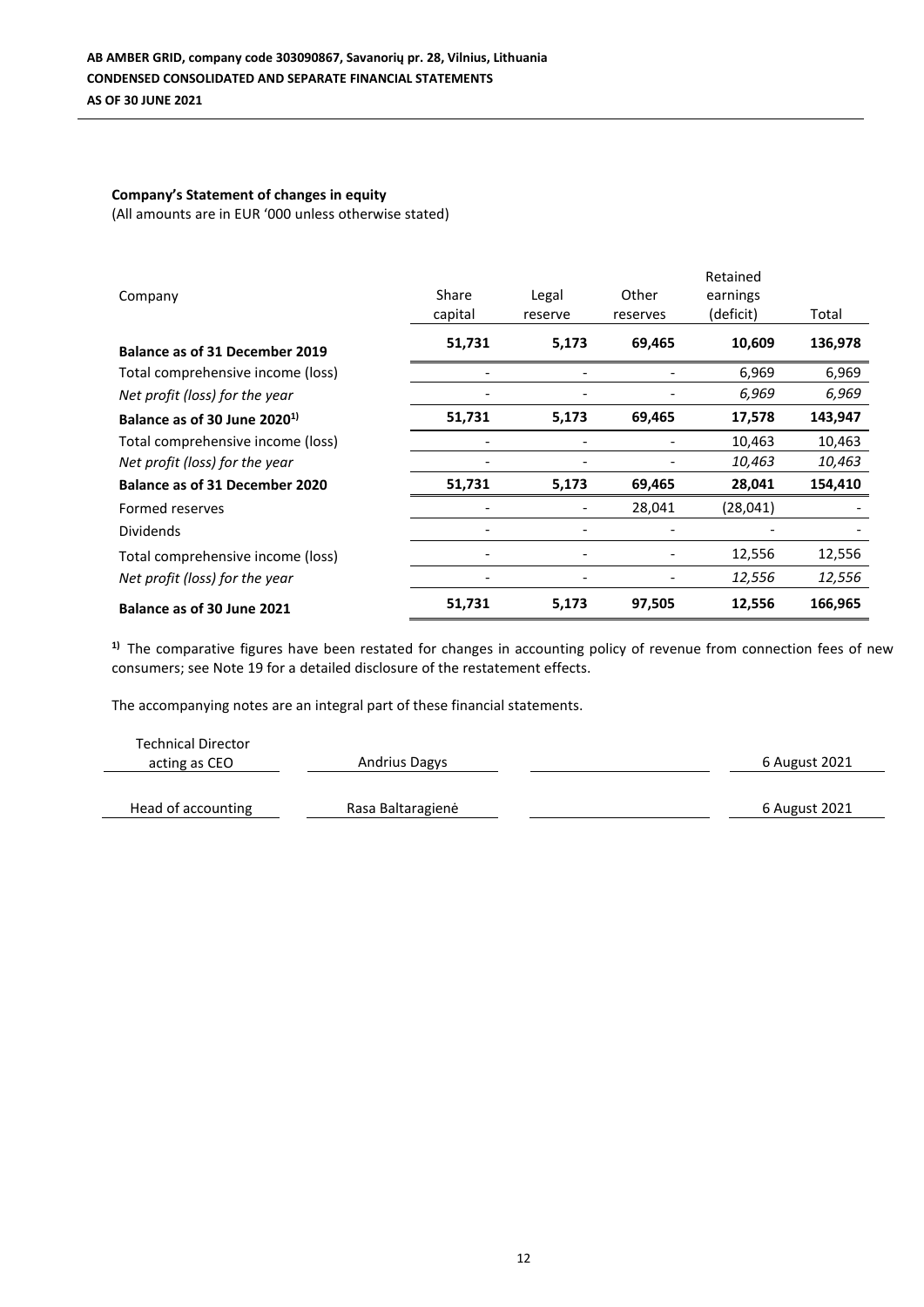## **Company's Statement of changes in equity**

(All amounts are in EUR '000 unless otherwise stated)

|                                          |         |                          |          | Retained  |         |
|------------------------------------------|---------|--------------------------|----------|-----------|---------|
| Company                                  | Share   | Legal                    | Other    | earnings  |         |
|                                          | capital | reserve                  | reserves | (deficit) | Total   |
| <b>Balance as of 31 December 2019</b>    | 51,731  | 5,173                    | 69,465   | 10,609    | 136,978 |
| Total comprehensive income (loss)        |         |                          |          | 6,969     | 6,969   |
| Net profit (loss) for the year           |         |                          |          | 6,969     | 6,969   |
| Balance as of 30 June 2020 <sup>1)</sup> | 51,731  | 5,173                    | 69,465   | 17,578    | 143,947 |
| Total comprehensive income (loss)        |         |                          |          | 10,463    | 10,463  |
| Net profit (loss) for the year           |         |                          |          | 10,463    | 10,463  |
| <b>Balance as of 31 December 2020</b>    | 51,731  | 5,173                    | 69,465   | 28,041    | 154,410 |
| Formed reserves                          |         |                          | 28,041   | (28,041)  |         |
| <b>Dividends</b>                         |         | $\overline{\phantom{0}}$ |          |           |         |
| Total comprehensive income (loss)        |         |                          |          | 12,556    | 12,556  |
| Net profit (loss) for the year           |         | ٠                        |          | 12,556    | 12,556  |
| Balance as of 30 June 2021               | 51,731  | 5,173                    | 97,505   | 12,556    | 166,965 |

<sup>1)</sup> The comparative figures have been restated for changes in accounting policy of revenue from connection fees of new consumers; see Note 19 for a detailed disclosure of the restatement effects.

| <b>Technical Director</b><br>acting as CEO | <b>Andrius Dagys</b> | 6 August 2021 |
|--------------------------------------------|----------------------|---------------|
| Head of accounting                         | Rasa Baltaragienė    | 6 August 2021 |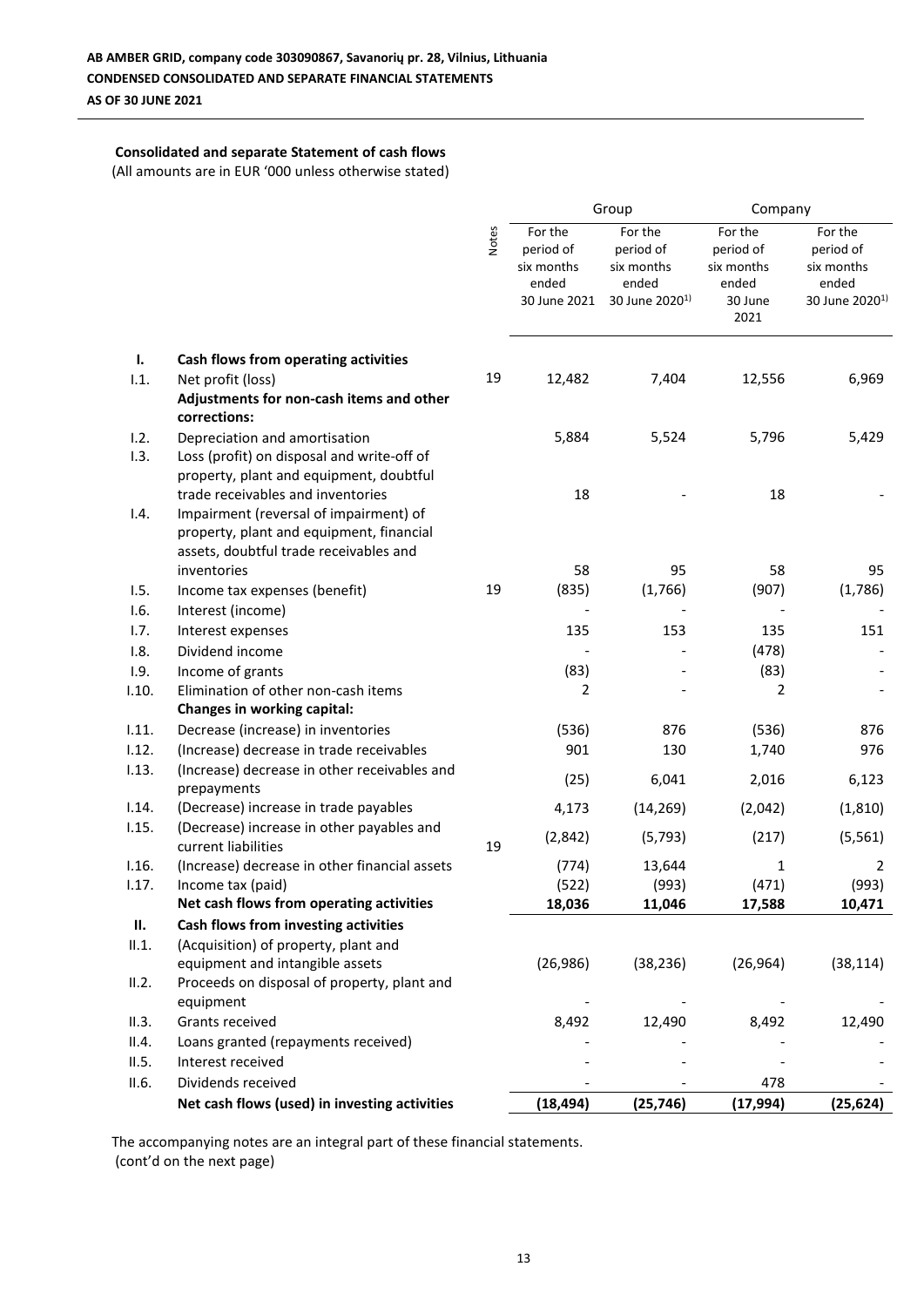## **Consolidated and separate Statement of cash flows**

(All amounts are in EUR '000 unless otherwise stated)

|       |                                               |              | Group        |                            | Company    |                            |
|-------|-----------------------------------------------|--------------|--------------|----------------------------|------------|----------------------------|
|       |                                               |              | For the      | For the                    | For the    | For the                    |
|       |                                               | <b>Notes</b> | period of    | period of                  | period of  | period of                  |
|       |                                               |              | six months   | six months                 | six months | six months                 |
|       |                                               |              | ended        | ended                      | ended      | ended                      |
|       |                                               |              | 30 June 2021 | 30 June 2020 <sup>1)</sup> | 30 June    | 30 June 2020 <sup>1)</sup> |
|       |                                               |              |              |                            | 2021       |                            |
| ı.    | Cash flows from operating activities          |              |              |                            |            |                            |
| 1.1.  | Net profit (loss)                             | 19           | 12,482       | 7,404                      | 12,556     | 6,969                      |
|       | Adjustments for non-cash items and other      |              |              |                            |            |                            |
|       | corrections:                                  |              |              |                            |            |                            |
| 1.2.  | Depreciation and amortisation                 |              | 5,884        | 5,524                      | 5,796      | 5,429                      |
| 1.3.  | Loss (profit) on disposal and write-off of    |              |              |                            |            |                            |
|       | property, plant and equipment, doubtful       |              |              |                            |            |                            |
|       | trade receivables and inventories             |              | 18           |                            | 18         |                            |
| 1.4.  | Impairment (reversal of impairment) of        |              |              |                            |            |                            |
|       | property, plant and equipment, financial      |              |              |                            |            |                            |
|       | assets, doubtful trade receivables and        |              |              |                            |            |                            |
|       | inventories                                   |              | 58           | 95                         | 58         | 95                         |
| 1.5.  | Income tax expenses (benefit)                 | 19           | (835)        | (1,766)                    | (907)      | (1,786)                    |
| 1.6.  | Interest (income)                             |              |              |                            |            |                            |
| 1.7.  | Interest expenses                             |              | 135          | 153                        | 135        | 151                        |
| 1.8.  | Dividend income                               |              |              |                            | (478)      |                            |
| 1.9.  | Income of grants                              |              | (83)         |                            | (83)       |                            |
| 1.10. | Elimination of other non-cash items           |              | 2            |                            | 2          |                            |
|       | Changes in working capital:                   |              |              |                            |            |                            |
| 1.11. | Decrease (increase) in inventories            |              | (536)        | 876                        | (536)      | 876                        |
| 1.12. | (Increase) decrease in trade receivables      |              | 901          | 130                        | 1,740      | 976                        |
| 1.13. | (Increase) decrease in other receivables and  |              |              |                            |            |                            |
|       | prepayments                                   |              | (25)         | 6,041                      | 2,016      | 6,123                      |
| 1.14. | (Decrease) increase in trade payables         |              | 4,173        | (14, 269)                  | (2,042)    | (1, 810)                   |
| 1.15. | (Decrease) increase in other payables and     |              |              |                            |            |                            |
|       | current liabilities                           | 19           | (2,842)      | (5, 793)                   | (217)      | (5, 561)                   |
| 1.16. | (Increase) decrease in other financial assets |              | (774)        | 13,644                     | 1          | 2                          |
| 1.17. | Income tax (paid)                             |              | (522)        | (993)                      | (471)      | (993)                      |
|       | Net cash flows from operating activities      |              | 18,036       | 11,046                     | 17,588     | 10,471                     |
| П.    | Cash flows from investing activities          |              |              |                            |            |                            |
| II.1. | (Acquisition) of property, plant and          |              |              |                            |            |                            |
|       | equipment and intangible assets               |              | (26, 986)    | (38, 236)                  | (26, 964)  | (38, 114)                  |
| II.2. | Proceeds on disposal of property, plant and   |              |              |                            |            |                            |
|       | equipment                                     |              |              |                            |            |                            |
| II.3. | Grants received                               |              | 8,492        | 12,490                     | 8,492      | 12,490                     |
| II.4. | Loans granted (repayments received)           |              |              |                            |            |                            |
| II.5. | Interest received                             |              |              |                            |            |                            |
| II.6. | Dividends received                            |              |              |                            | 478        |                            |
|       | Net cash flows (used) in investing activities |              | (18, 494)    | (25, 746)                  | (17, 994)  | (25, 624)                  |

The accompanying notes are an integral part of these financial statements. (cont'd on the next page)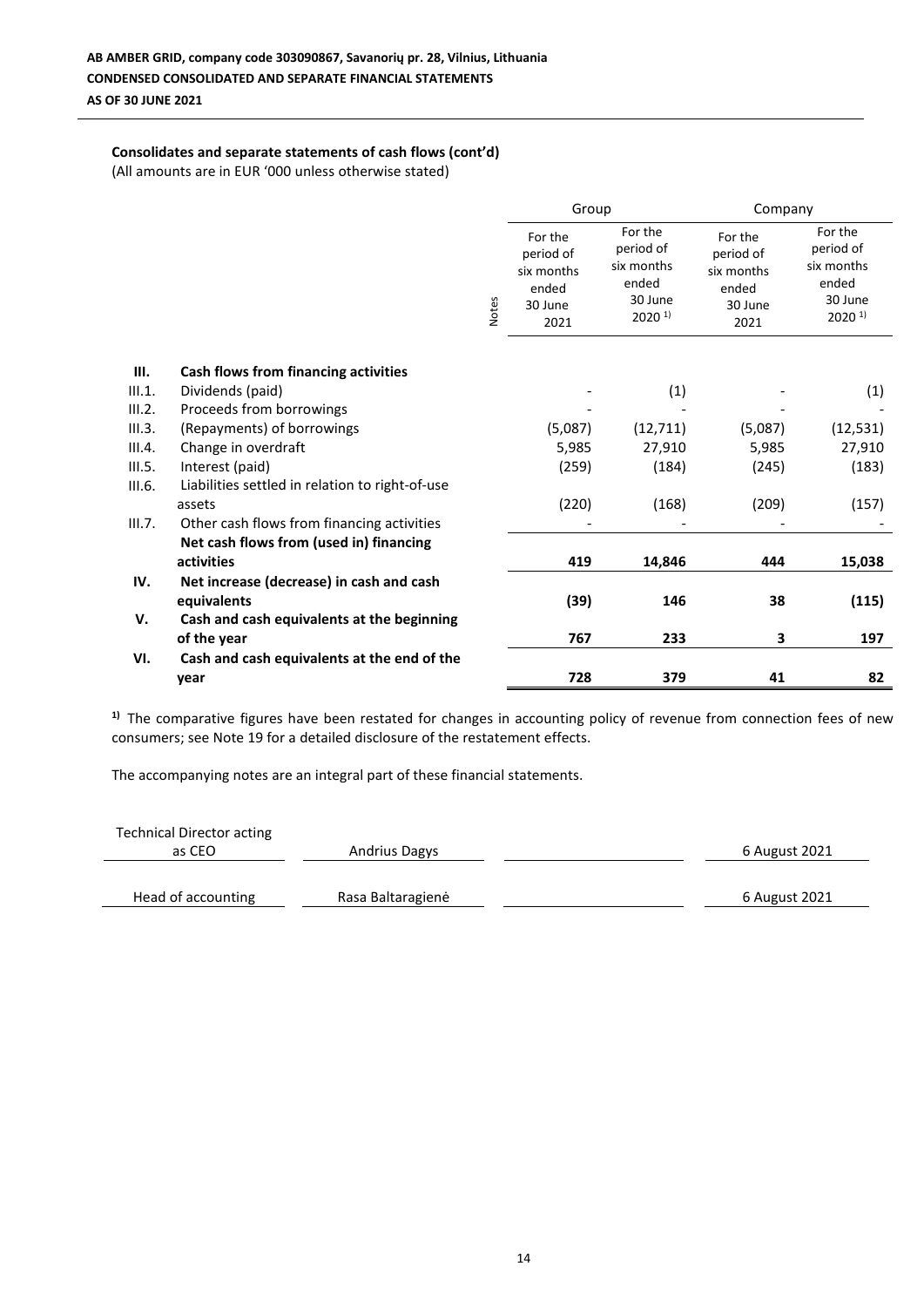## **Consolidates and separate statements of cash flows (cont'd)**

(All amounts are in EUR '000 unless otherwise stated)

|        |                                                 |              | Group                                                          |                                                                                | Company                                                        |                                                                                |
|--------|-------------------------------------------------|--------------|----------------------------------------------------------------|--------------------------------------------------------------------------------|----------------------------------------------------------------|--------------------------------------------------------------------------------|
|        |                                                 | <b>Notes</b> | For the<br>period of<br>six months<br>ended<br>30 June<br>2021 | For the<br>period of<br>six months<br>ended<br>30 June<br>$2020$ <sup>1)</sup> | For the<br>period of<br>six months<br>ended<br>30 June<br>2021 | For the<br>period of<br>six months<br>ended<br>30 June<br>$2020$ <sup>1)</sup> |
|        |                                                 |              |                                                                |                                                                                |                                                                |                                                                                |
| III.   | Cash flows from financing activities            |              |                                                                |                                                                                |                                                                |                                                                                |
| III.1. | Dividends (paid)                                |              |                                                                | (1)                                                                            |                                                                | (1)                                                                            |
| III.2. | Proceeds from borrowings                        |              |                                                                |                                                                                |                                                                |                                                                                |
| III.3. | (Repayments) of borrowings                      |              | (5,087)                                                        | (12, 711)                                                                      | (5,087)                                                        | (12, 531)                                                                      |
| III.4. | Change in overdraft                             |              | 5,985                                                          | 27,910                                                                         | 5,985                                                          | 27,910                                                                         |
| III.5. | Interest (paid)                                 |              | (259)                                                          | (184)                                                                          | (245)                                                          | (183)                                                                          |
| III.6. | Liabilities settled in relation to right-of-use |              |                                                                |                                                                                |                                                                |                                                                                |
|        | assets                                          |              | (220)                                                          | (168)                                                                          | (209)                                                          | (157)                                                                          |
| III.7. | Other cash flows from financing activities      |              |                                                                |                                                                                |                                                                |                                                                                |
|        | Net cash flows from (used in) financing         |              |                                                                |                                                                                |                                                                |                                                                                |
|        | activities                                      |              | 419                                                            | 14,846                                                                         | 444                                                            | 15,038                                                                         |
| IV.    | Net increase (decrease) in cash and cash        |              |                                                                |                                                                                |                                                                |                                                                                |
|        | equivalents                                     |              | (39)                                                           | 146                                                                            | 38                                                             | (115)                                                                          |
| V.     | Cash and cash equivalents at the beginning      |              |                                                                |                                                                                |                                                                |                                                                                |
|        | of the year                                     |              | 767                                                            | 233                                                                            | 3                                                              | 197                                                                            |
| VI.    | Cash and cash equivalents at the end of the     |              |                                                                |                                                                                |                                                                |                                                                                |
|        | year                                            |              | 728                                                            | 379                                                                            | 41                                                             | 82                                                                             |

<sup>1)</sup> The comparative figures have been restated for changes in accounting policy of revenue from connection fees of new consumers; see Note 19 for a detailed disclosure of the restatement effects.

| <b>Technical Director acting</b> |                      |               |
|----------------------------------|----------------------|---------------|
| as CEO                           | <b>Andrius Dagys</b> | 6 August 2021 |
| Head of accounting               | Rasa Baltaragienė    | 6 August 2021 |
|                                  |                      |               |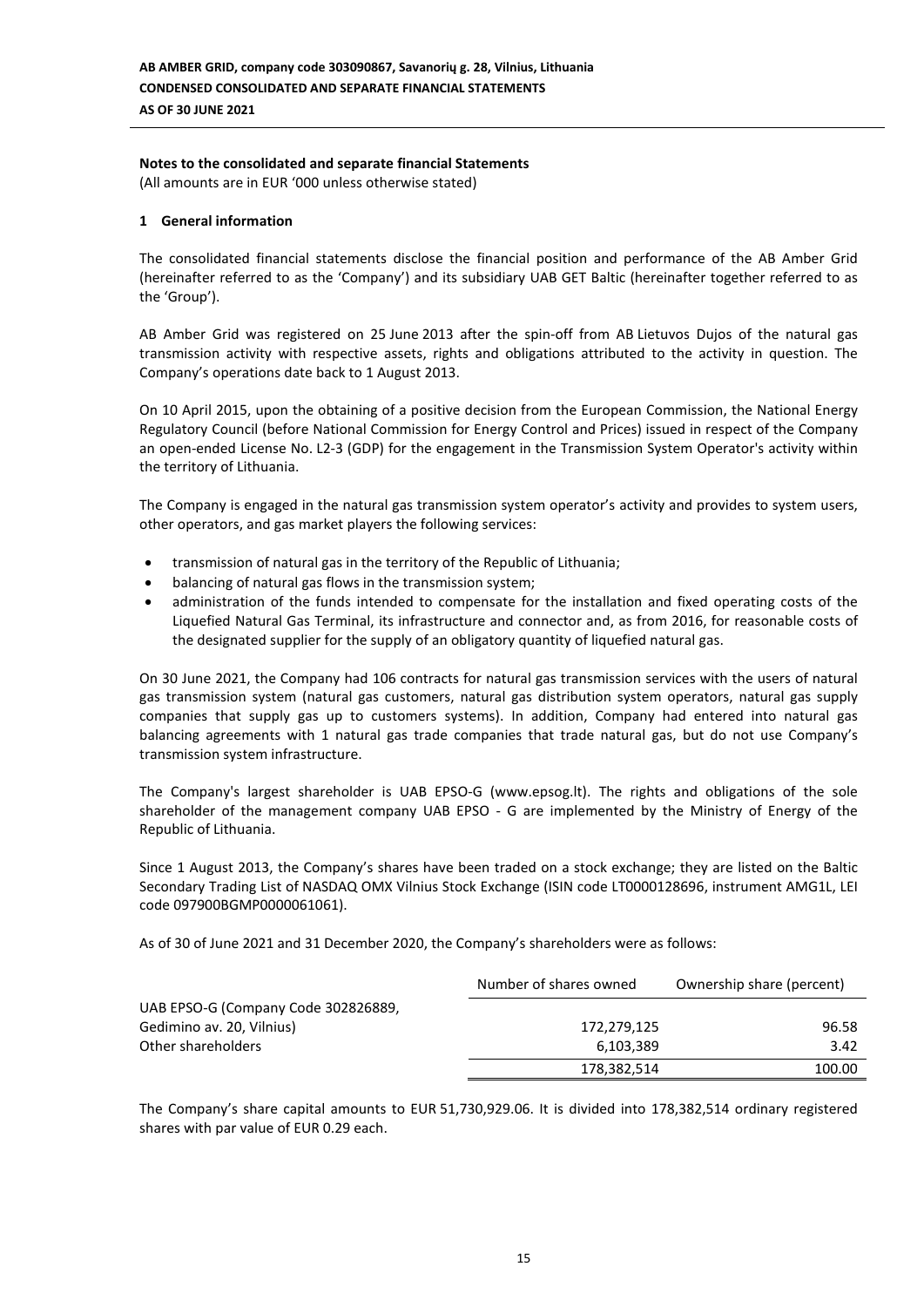## **Notes to the consolidated and separate financial Statements**

(All amounts are in EUR '000 unless otherwise stated)

## **1 General information**

The consolidated financial statements disclose the financial position and performance of the AB Amber Grid (hereinafter referred to as the 'Company') and its subsidiary UAB GET Baltic (hereinafter together referred to as the 'Group').

AB Amber Grid was registered on 25 June 2013 after the spin-off from AB Lietuvos Dujos of the natural gas transmission activity with respective assets, rights and obligations attributed to the activity in question. The Company's operations date back to 1 August 2013.

On 10 April 2015, upon the obtaining of a positive decision from the European Commission, the National Energy Regulatory Council (before National Commission for Energy Control and Prices) issued in respect of the Company an open-ended License No. L2-3 (GDP) for the engagement in the Transmission System Operator's activity within the territory of Lithuania.

The Company is engaged in the natural gas transmission system operator's activity and provides to system users, other operators, and gas market players the following services:

- transmission of natural gas in the territory of the Republic of Lithuania;
- balancing of natural gas flows in the transmission system;
- administration of the funds intended to compensate for the installation and fixed operating costs of the Liquefied Natural Gas Terminal, its infrastructure and connector and, as from 2016, for reasonable costs of the designated supplier for the supply of an obligatory quantity of liquefied natural gas.

On 30 June 2021, the Company had 106 contracts for natural gas transmission services with the users of natural gas transmission system (natural gas customers, natural gas distribution system operators, natural gas supply companies that supply gas up to customers systems). In addition, Company had entered into natural gas balancing agreements with 1 natural gas trade companies that trade natural gas, but do not use Company's transmission system infrastructure.

The Company's largest shareholder is UAB EPSO-G (www.epsog.lt). The rights and obligations of the sole shareholder of the management company UAB EPSO - G are implemented by the Ministry of Energy of the Republic of Lithuania.

Since 1 August 2013, the Company's shares have been traded on a stock exchange; they are listed on the Baltic Secondary Trading List of NASDAQ OMX Vilnius Stock Exchange (ISIN code LT0000128696, instrument AMG1L, LEI code 097900BGMP0000061061).

As of 30 of June 2021 and 31 December 2020, the Company's shareholders were as follows:

|                                     | Number of shares owned | Ownership share (percent) |
|-------------------------------------|------------------------|---------------------------|
| UAB EPSO-G (Company Code 302826889, |                        |                           |
| Gedimino av. 20, Vilnius)           | 172,279,125            | 96.58                     |
| Other shareholders                  | 6,103,389              | 3.42                      |
|                                     | 178,382,514            | 100.00                    |

The Company's share capital amounts to EUR 51,730,929.06. It is divided into 178,382,514 ordinary registered shares with par value of EUR 0.29 each.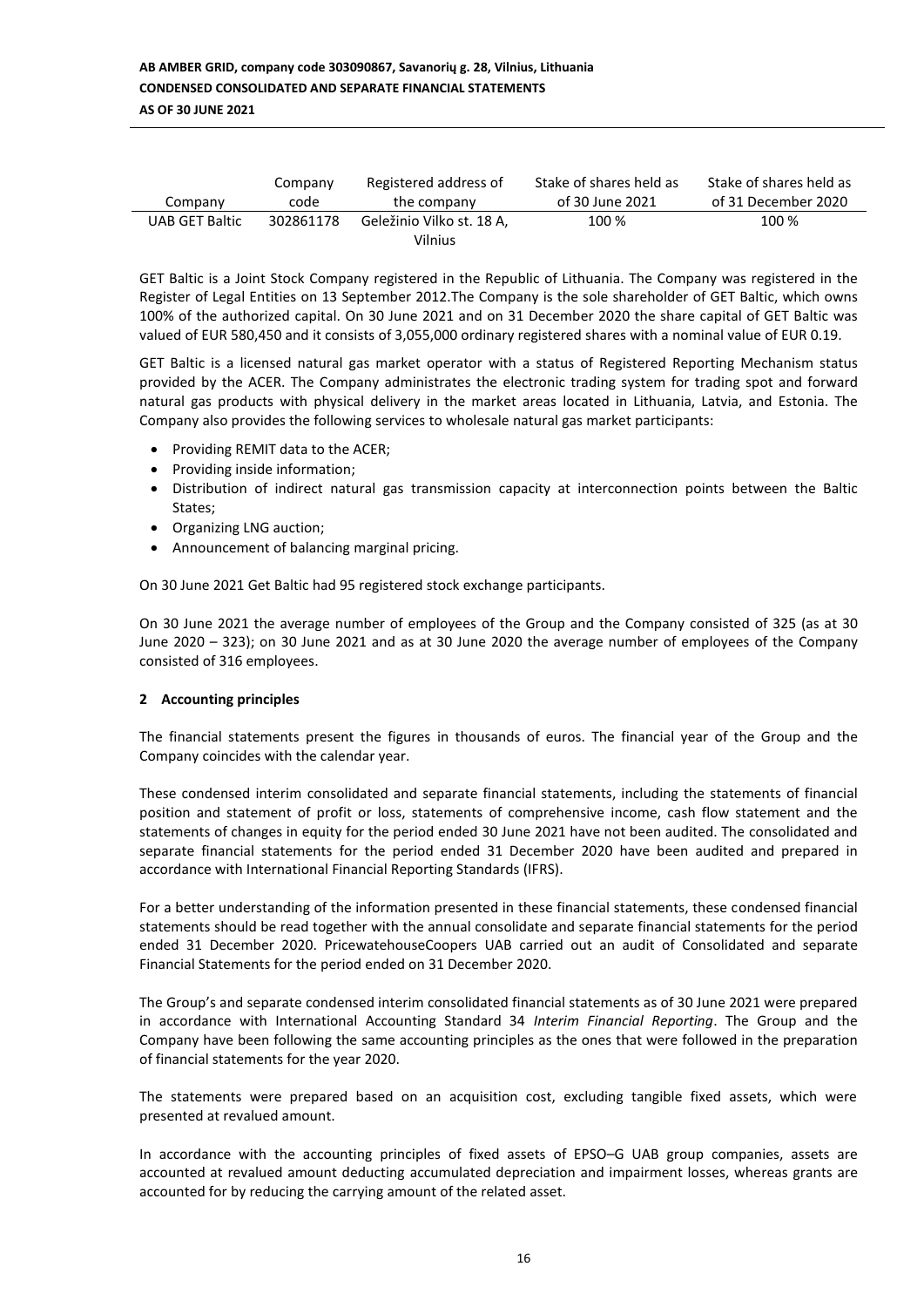| Company        | Company   | Registered address of                | Stake of shares held as | Stake of shares held as |
|----------------|-----------|--------------------------------------|-------------------------|-------------------------|
|                | code      | the company                          | of 30 June 2021         | of 31 December 2020     |
| UAB GET Baltic | 302861178 | Geležinio Vilko st. 18 A.<br>Vilnius | 100 %                   | 100 %                   |

GET Baltic is a Joint Stock Company registered in the Republic of Lithuania. The Company was registered in the Register of Legal Entities on 13 September 2012.The Company is the sole shareholder of GET Baltic, which owns 100% of the authorized capital. On 30 June 2021 and on 31 December 2020 the share capital of GET Baltic was valued of EUR 580,450 and it consists of 3,055,000 ordinary registered shares with a nominal value of EUR 0.19.

GET Baltic is a licensed natural gas market operator with a status of Registered Reporting Mechanism status provided by the ACER. The Company administrates the electronic trading system for trading spot and forward natural gas products with physical delivery in the market areas located in Lithuania, Latvia, and Estonia. The Company also provides the following services to wholesale natural gas market participants:

- Providing REMIT data to the ACER;
- Providing inside information;
- Distribution of indirect natural gas transmission capacity at interconnection points between the Baltic States;
- Organizing LNG auction;
- Announcement of balancing marginal pricing.

On 30 June 2021 Get Baltic had 95 registered stock exchange participants.

On 30 June 2021 the average number of employees of the Group and the Company consisted of 325 (as at 30 June 2020 – 323); on 30 June 2021 and as at 30 June 2020 the average number of employees of the Company consisted of 316 employees.

#### **2 Accounting principles**

The financial statements present the figures in thousands of euros. The financial year of the Group and the Company coincides with the calendar year.

These condensed interim consolidated and separate financial statements, including the statements of financial position and statement of profit or loss, statements of comprehensive income, cash flow statement and the statements of changes in equity for the period ended 30 June 2021 have not been audited. The consolidated and separate financial statements for the period ended 31 December 2020 have been audited and prepared in accordance with International Financial Reporting Standards (IFRS).

For a better understanding of the information presented in these financial statements, these condensed financial statements should be read together with the annual consolidate and separate financial statements for the period ended 31 December 2020. PricewatehouseCoopers UAB carried out an audit of Consolidated and separate Financial Statements for the period ended on 31 December 2020.

The Group's and separate condensed interim consolidated financial statements as of 30 June 2021 were prepared in accordance with International Accounting Standard 34 *Interim Financial Reporting*. The Group and the Company have been following the same accounting principles as the ones that were followed in the preparation of financial statements for the year 2020.

The statements were prepared based on an acquisition cost, excluding tangible fixed assets, which were presented at revalued amount.

In accordance with the accounting principles of fixed assets of EPSO–G UAB group companies, assets are accounted at revalued amount deducting accumulated depreciation and impairment losses, whereas grants are accounted for by reducing the carrying amount of the related asset.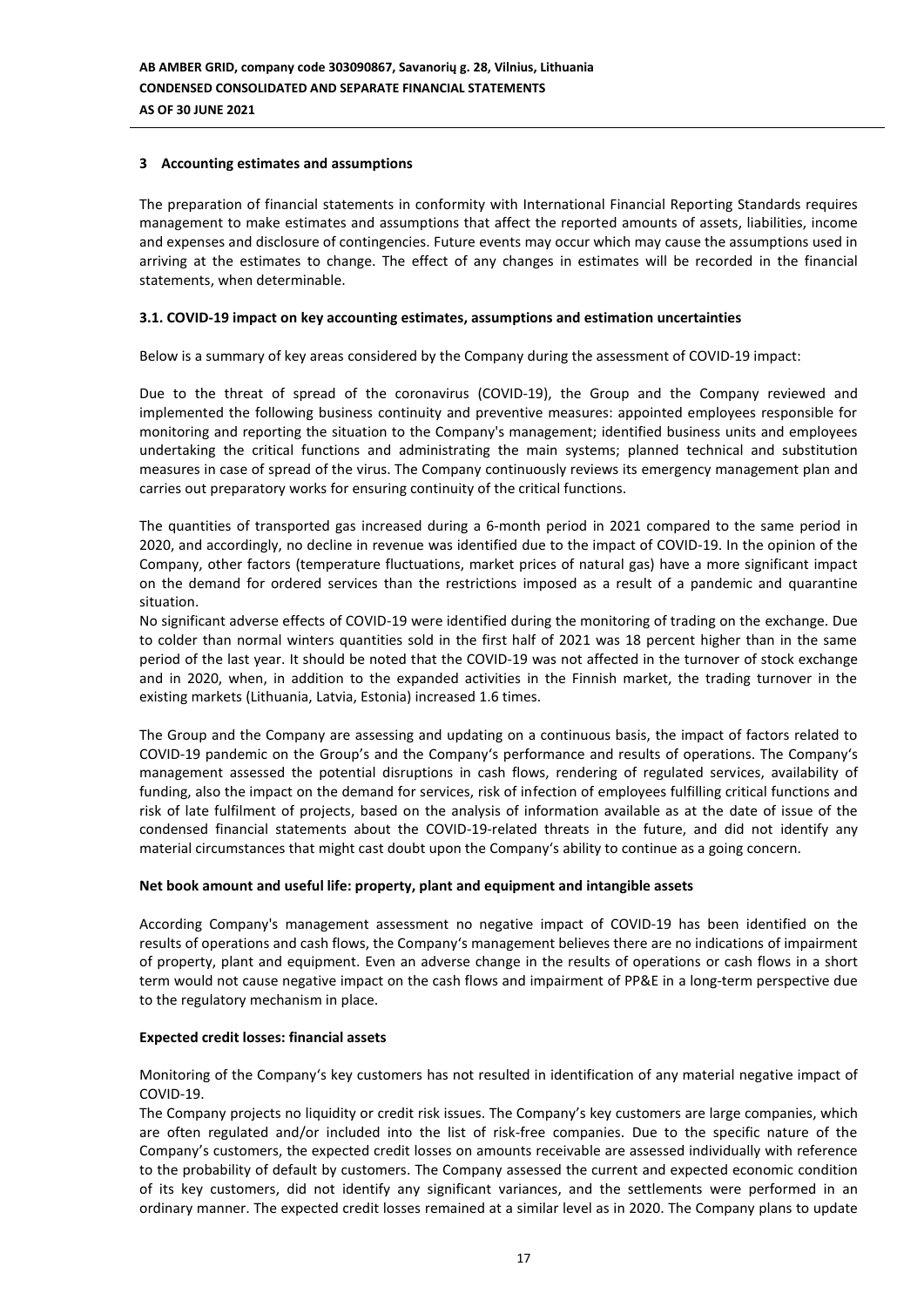## **3 Accounting estimates and assumptions**

The preparation of financial statements in conformity with International Financial Reporting Standards requires management to make estimates and assumptions that affect the reported amounts of assets, liabilities, income and expenses and disclosure of contingencies. Future events may occur which may cause the assumptions used in arriving at the estimates to change. The effect of any changes in estimates will be recorded in the financial statements, when determinable.

## **3.1. COVID-19 impact on key accounting estimates, assumptions and estimation uncertainties**

Below is a summary of key areas considered by the Company during the assessment of COVID-19 impact:

Due to the threat of spread of the coronavirus (COVID-19), the Group and the Company reviewed and implemented the following business continuity and preventive measures: appointed employees responsible for monitoring and reporting the situation to the Company's management; identified business units and employees undertaking the critical functions and administrating the main systems; planned technical and substitution measures in case of spread of the virus. The Company continuously reviews its emergency management plan and carries out preparatory works for ensuring continuity of the critical functions.

The quantities of transported gas increased during a 6-month period in 2021 compared to the same period in 2020, and accordingly, no decline in revenue was identified due to the impact of COVID-19. In the opinion of the Company, other factors (temperature fluctuations, market prices of natural gas) have a more significant impact on the demand for ordered services than the restrictions imposed as a result of a pandemic and quarantine situation.

No significant adverse effects of COVID-19 were identified during the monitoring of trading on the exchange. Due to colder than normal winters quantities sold in the first half of 2021 was 18 percent higher than in the same period of the last year. It should be noted that the COVID-19 was not affected in the turnover of stock exchange and in 2020, when, in addition to the expanded activities in the Finnish market, the trading turnover in the existing markets (Lithuania, Latvia, Estonia) increased 1.6 times.

The Group and the Company are assessing and updating on a continuous basis, the impact of factors related to COVID-19 pandemic on the Group's and the Company's performance and results of operations. The Company's management assessed the potential disruptions in cash flows, rendering of regulated services, availability of funding, also the impact on the demand for services, risk of infection of employees fulfilling critical functions and risk of late fulfilment of projects, based on the analysis of information available as at the date of issue of the condensed financial statements about the COVID-19-related threats in the future, and did not identify any material circumstances that might cast doubt upon the Company's ability to continue as a going concern.

#### **Net book amount and useful life: property, plant and equipment and intangible assets**

According Company's management assessment no negative impact of COVID-19 has been identified on the results of operations and cash flows, the Company's management believes there are no indications of impairment of property, plant and equipment. Even an adverse change in the results of operations or cash flows in a short term would not cause negative impact on the cash flows and impairment of PP&E in a long-term perspective due to the regulatory mechanism in place.

#### **Expected credit losses: financial assets**

Monitoring of the Company's key customers has not resulted in identification of any material negative impact of COVID-19.

The Company projects no liquidity or credit risk issues. The Company's key customers are large companies, which are often regulated and/or included into the list of risk-free companies. Due to the specific nature of the Company's customers, the expected credit losses on amounts receivable are assessed individually with reference to the probability of default by customers. The Company assessed the current and expected economic condition of its key customers, did not identify any significant variances, and the settlements were performed in an ordinary manner. The expected credit losses remained at a similar level as in 2020. The Company plans to update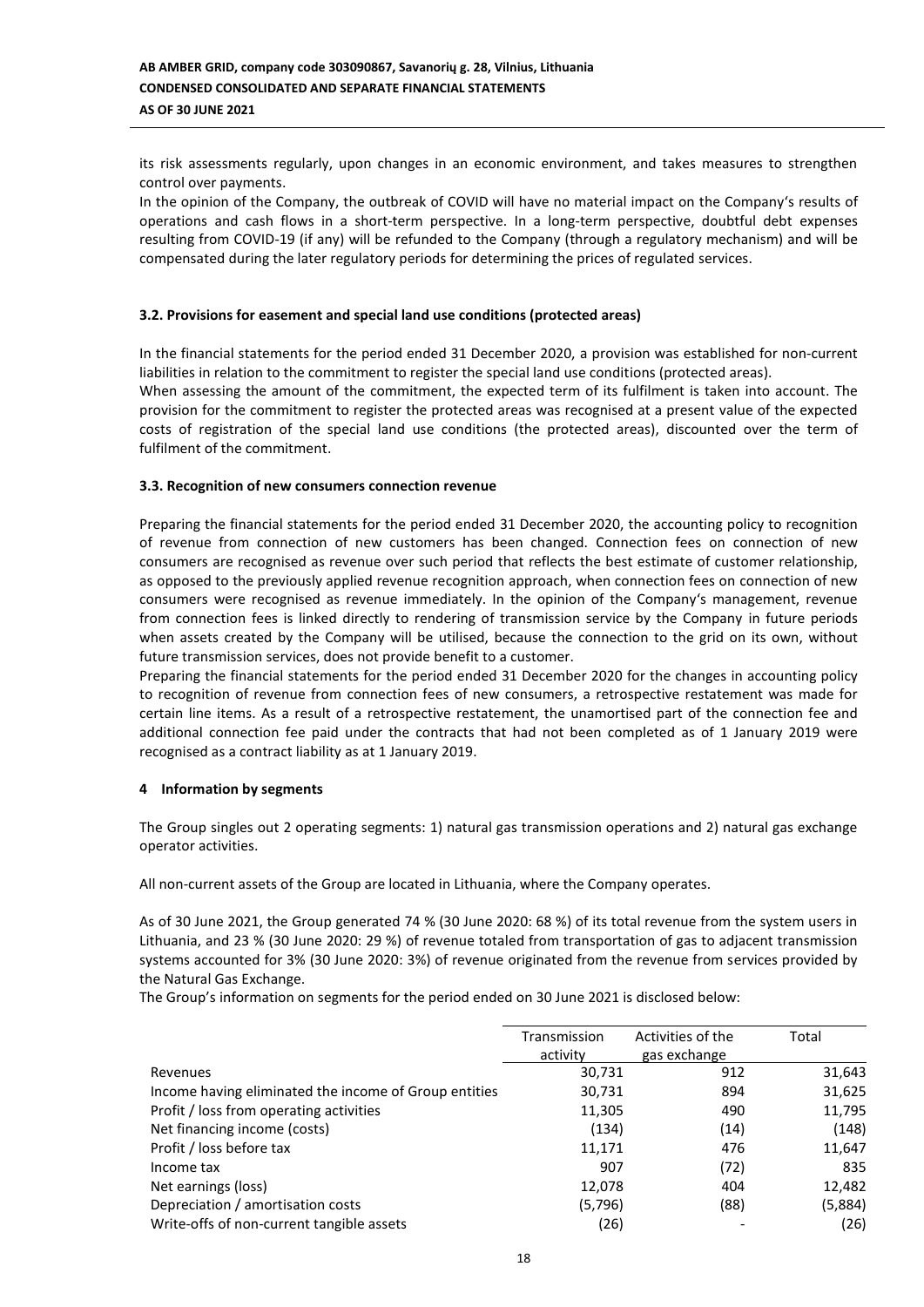its risk assessments regularly, upon changes in an economic environment, and takes measures to strengthen control over payments.

In the opinion of the Company, the outbreak of COVID will have no material impact on the Company's results of operations and cash flows in a short-term perspective. In a long-term perspective, doubtful debt expenses resulting from COVID-19 (if any) will be refunded to the Company (through a regulatory mechanism) and will be compensated during the later regulatory periods for determining the prices of regulated services.

## **3.2. Provisions for easement and special land use conditions (protected areas)**

In the financial statements for the period ended 31 December 2020, a provision was established for non-current liabilities in relation to the commitment to register the special land use conditions (protected areas). When assessing the amount of the commitment, the expected term of its fulfilment is taken into account. The provision for the commitment to register the protected areas was recognised at a present value of the expected costs of registration of the special land use conditions (the protected areas), discounted over the term of fulfilment of the commitment.

## **3.3. Recognition of new consumers connection revenue**

Preparing the financial statements for the period ended 31 December 2020, the accounting policy to recognition of revenue from connection of new customers has been changed. Connection fees on connection of new consumers are recognised as revenue over such period that reflects the best estimate of customer relationship, as opposed to the previously applied revenue recognition approach, when connection fees on connection of new consumers were recognised as revenue immediately. In the opinion of the Company's management, revenue from connection fees is linked directly to rendering of transmission service by the Company in future periods when assets created by the Company will be utilised, because the connection to the grid on its own, without future transmission services, does not provide benefit to a customer.

Preparing the financial statements for the period ended 31 December 2020 for the changes in accounting policy to recognition of revenue from connection fees of new consumers, a retrospective restatement was made for certain line items. As a result of a retrospective restatement, the unamortised part of the connection fee and additional connection fee paid under the contracts that had not been completed as of 1 January 2019 were recognised as a contract liability as at 1 January 2019.

#### **4 Information by segments**

The Group singles out 2 operating segments: 1) natural gas transmission operations and 2) natural gas exchange operator activities.

All non-current assets of the Group are located in Lithuania, where the Company operates.

As of 30 June 2021, the Group generated 74 % (30 June 2020: 68 %) of its total revenue from the system users in Lithuania, and 23 % (30 June 2020: 29 %) of revenue totaled from transportation of gas to adjacent transmission systems accounted for 3% (30 June 2020: 3%) of revenue originated from the revenue from services provided by the Natural Gas Exchange.

The Group's information on segments for the period ended on 30 June 2021 is disclosed below:

|                                                       | Transmission<br>activity | Activities of the<br>gas exchange | Total   |
|-------------------------------------------------------|--------------------------|-----------------------------------|---------|
| Revenues                                              | 30,731                   | 912                               | 31,643  |
| Income having eliminated the income of Group entities | 30,731                   | 894                               | 31,625  |
| Profit / loss from operating activities               | 11,305                   | 490                               | 11,795  |
| Net financing income (costs)                          | (134)                    | (14)                              | (148)   |
| Profit / loss before tax                              | 11,171                   | 476                               | 11,647  |
| Income tax                                            | 907                      | (72)                              | 835     |
| Net earnings (loss)                                   | 12,078                   | 404                               | 12,482  |
| Depreciation / amortisation costs                     | (5,796)                  | (88)                              | (5,884) |
| Write-offs of non-current tangible assets             | (26)                     |                                   | (26)    |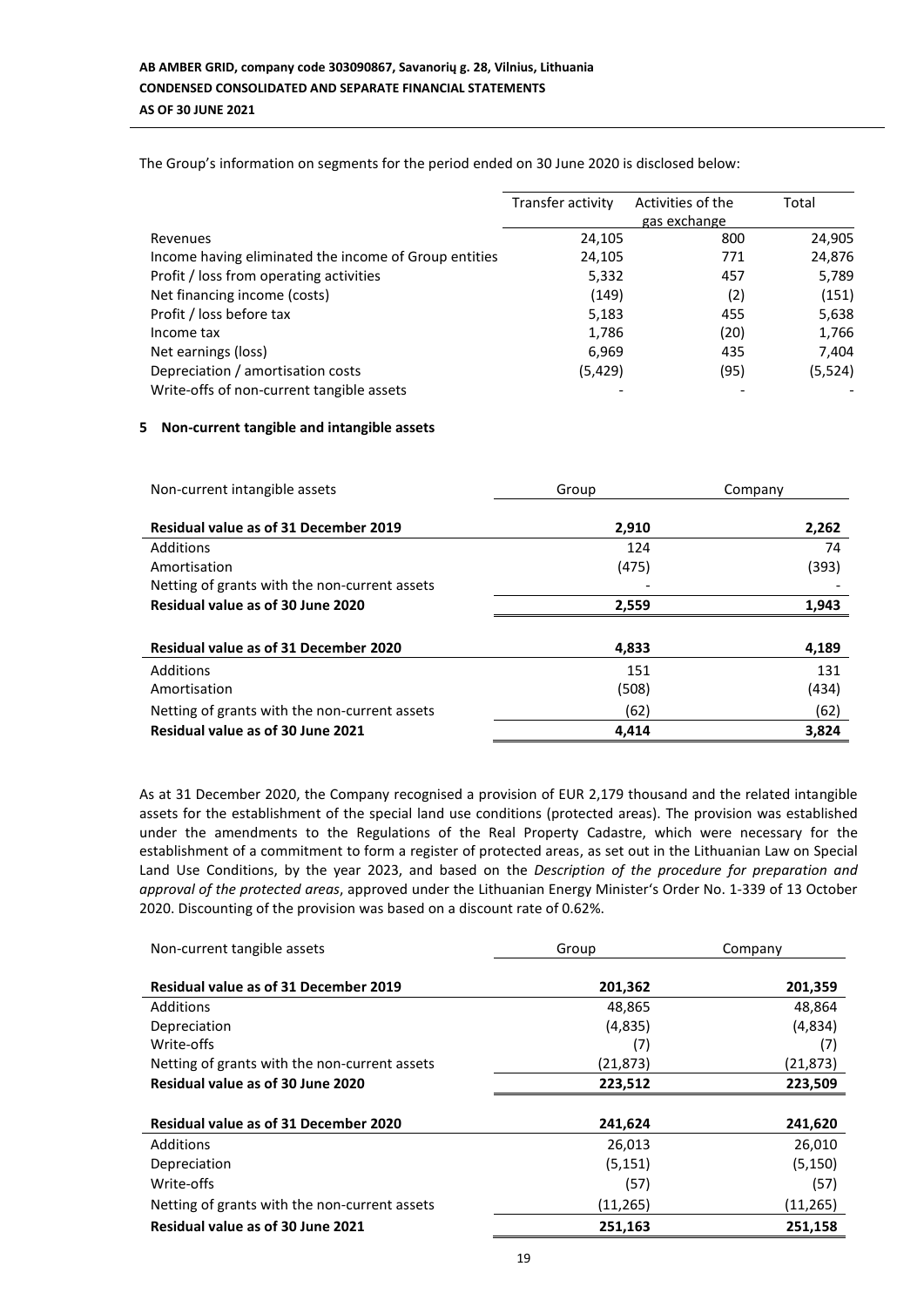The Group's information on segments for the period ended on 30 June 2020 is disclosed below:

|                                                       | Transfer activity | Activities of the | Total    |
|-------------------------------------------------------|-------------------|-------------------|----------|
|                                                       |                   | gas exchange      |          |
| Revenues                                              | 24,105            | 800               | 24,905   |
| Income having eliminated the income of Group entities | 24,105            | 771               | 24,876   |
| Profit / loss from operating activities               | 5,332             | 457               | 5,789    |
| Net financing income (costs)                          | (149)             | (2)               | (151)    |
| Profit / loss before tax                              | 5,183             | 455               | 5,638    |
| Income tax                                            | 1,786             | (20)              | 1,766    |
| Net earnings (loss)                                   | 6,969             | 435               | 7,404    |
| Depreciation / amortisation costs                     | (5, 429)          | (95)              | (5, 524) |
| Write-offs of non-current tangible assets             |                   |                   |          |

## **5 Non-current tangible and intangible assets**

| Non-current intangible assets                 | Group | Company |
|-----------------------------------------------|-------|---------|
| <b>Residual value as of 31 December 2019</b>  | 2,910 | 2,262   |
| Additions                                     | 124   | 74      |
| Amortisation                                  | (475) | (393)   |
| Netting of grants with the non-current assets |       |         |
| Residual value as of 30 June 2020             | 2,559 | 1,943   |
|                                               |       |         |
| Residual value as of 31 December 2020         | 4,833 | 4,189   |
| Additions                                     | 151   | 131     |
| Amortisation                                  | (508) | (434)   |
| Netting of grants with the non-current assets | (62)  | (62)    |
| Residual value as of 30 June 2021             | 4,414 | 3,824   |

As at 31 December 2020, the Company recognised a provision of EUR 2,179 thousand and the related intangible assets for the establishment of the special land use conditions (protected areas). The provision was established under the amendments to the Regulations of the Real Property Cadastre, which were necessary for the establishment of a commitment to form a register of protected areas, as set out in the Lithuanian Law on Special Land Use Conditions, by the year 2023, and based on the *Description of the procedure for preparation and approval of the protected areas*, approved under the Lithuanian Energy Minister's Order No. 1-339 of 13 October 2020. Discounting of the provision was based on a discount rate of 0.62%.

| Group     | Company   |  |
|-----------|-----------|--|
| 201,362   | 201,359   |  |
| 48,865    | 48,864    |  |
| (4,835)   | (4,834)   |  |
| (7)       | (7)       |  |
| (21, 873) | (21, 873) |  |
| 223,512   | 223,509   |  |
|           |           |  |
| 241,624   | 241,620   |  |
| 26,013    | 26,010    |  |
| (5, 151)  | (5, 150)  |  |
| (57)      | (57)      |  |
| (11, 265) | (11, 265) |  |
| 251,163   | 251,158   |  |
|           |           |  |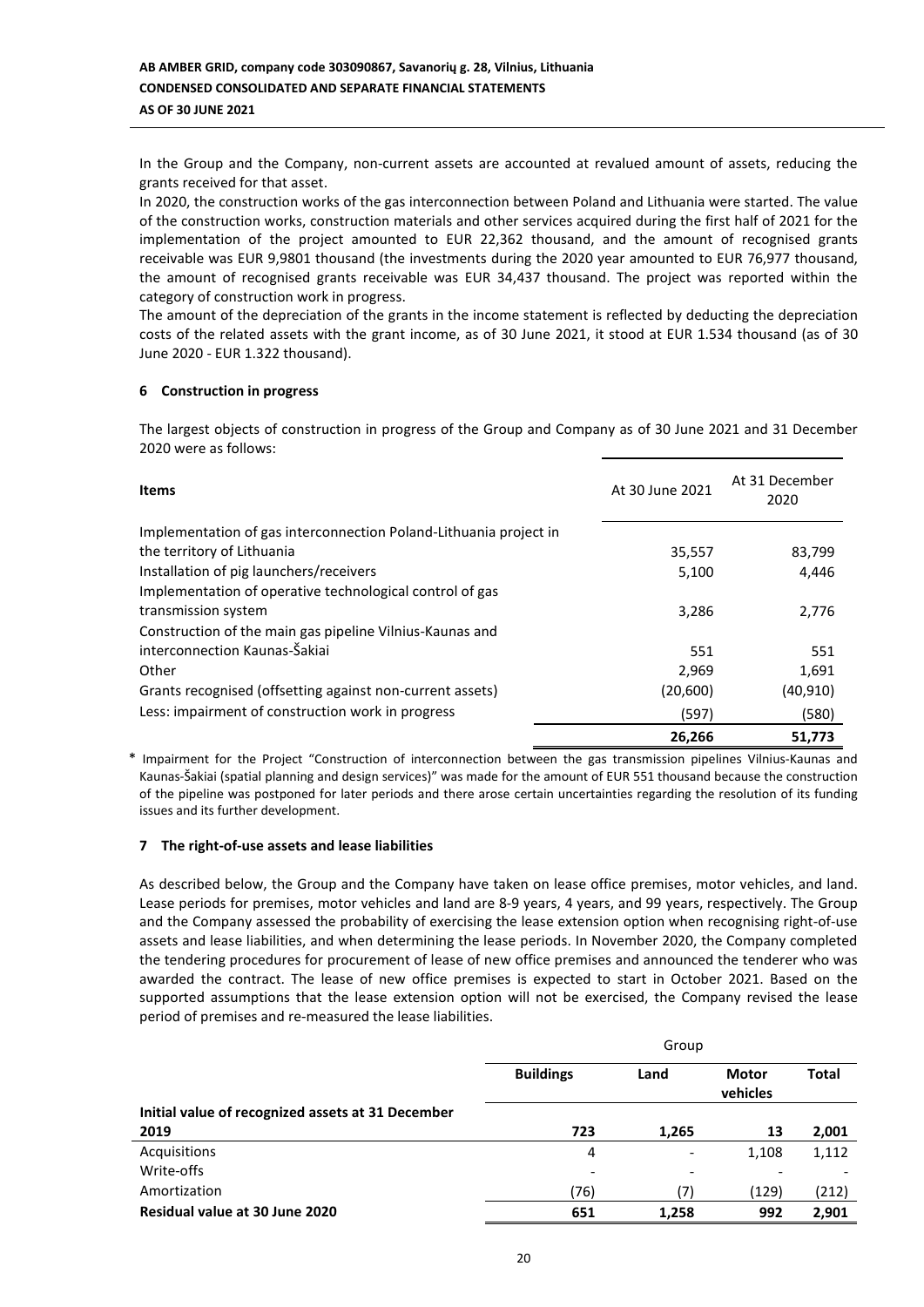In the Group and the Company, non-current assets are accounted at revalued amount of assets, reducing the grants received for that asset.

In 2020, the construction works of the gas interconnection between Poland and Lithuania were started. The value of the construction works, construction materials and other services acquired during the first half of 2021 for the implementation of the project amounted to EUR 22,362 thousand, and the amount of recognised grants receivable was EUR 9,9801 thousand (the investments during the 2020 year amounted to EUR 76,977 thousand, the amount of recognised grants receivable was EUR 34,437 thousand. The project was reported within the category of construction work in progress.

The amount of the depreciation of the grants in the income statement is reflected by deducting the depreciation costs of the related assets with the grant income, as of 30 June 2021, it stood at EUR 1.534 thousand (as of 30 June 2020 - EUR 1.322 thousand).

## **6 Construction in progress**

The largest objects of construction in progress of the Group and Company as of 30 June 2021 and 31 December 2020 were as follows:

| <b>Items</b>                                                      | At 30 June 2021 | At 31 December<br>2020 |
|-------------------------------------------------------------------|-----------------|------------------------|
| Implementation of gas interconnection Poland-Lithuania project in |                 |                        |
| the territory of Lithuania                                        | 35,557          | 83,799                 |
| Installation of pig launchers/receivers                           | 5,100           | 4,446                  |
| Implementation of operative technological control of gas          |                 |                        |
| transmission system                                               | 3,286           | 2,776                  |
| Construction of the main gas pipeline Vilnius-Kaunas and          |                 |                        |
| interconnection Kaunas-Šakiai                                     | 551             | 551                    |
| Other                                                             | 2.969           | 1,691                  |
| Grants recognised (offsetting against non-current assets)         | (20,600)        | (40, 910)              |
| Less: impairment of construction work in progress                 | (597)           | (580)                  |
|                                                                   | 26,266          | 51,773                 |

\* Impairment for the Project "Construction of interconnection between the gas transmission pipelines Vilnius-Kaunas and Kaunas-Šakiai (spatial planning and design services)" was made for the amount of EUR 551 thousand because the construction of the pipeline was postponed for later periods and there arose certain uncertainties regarding the resolution of its funding issues and its further development.

## **7 The right-of-use assets and lease liabilities**

As described below, the Group and the Company have taken on lease office premises, motor vehicles, and land. Lease periods for premises, motor vehicles and land are 8-9 years, 4 years, and 99 years, respectively. The Group and the Company assessed the probability of exercising the lease extension option when recognising right-of-use assets and lease liabilities, and when determining the lease periods. In November 2020, the Company completed the tendering procedures for procurement of lease of new office premises and announced the tenderer who was awarded the contract. The lease of new office premises is expected to start in October 2021. Based on the supported assumptions that the lease extension option will not be exercised, the Company revised the lease period of premises and re-measured the lease liabilities.

|                                                   | Group            |                          |                          |              |  |
|---------------------------------------------------|------------------|--------------------------|--------------------------|--------------|--|
|                                                   | <b>Buildings</b> | Land                     | <b>Motor</b><br>vehicles | <b>Total</b> |  |
| Initial value of recognized assets at 31 December |                  |                          |                          |              |  |
| 2019                                              | 723              | 1,265                    | 13                       | 2,001        |  |
| Acquisitions                                      | 4                | $\overline{\phantom{a}}$ | 1,108                    | 1,112        |  |
| Write-offs                                        | -                | -                        |                          |              |  |
| Amortization                                      | (76)             | (7)                      | (129)                    | (212)        |  |
| Residual value at 30 June 2020                    | 651              | 1,258                    | 992                      | 2.901        |  |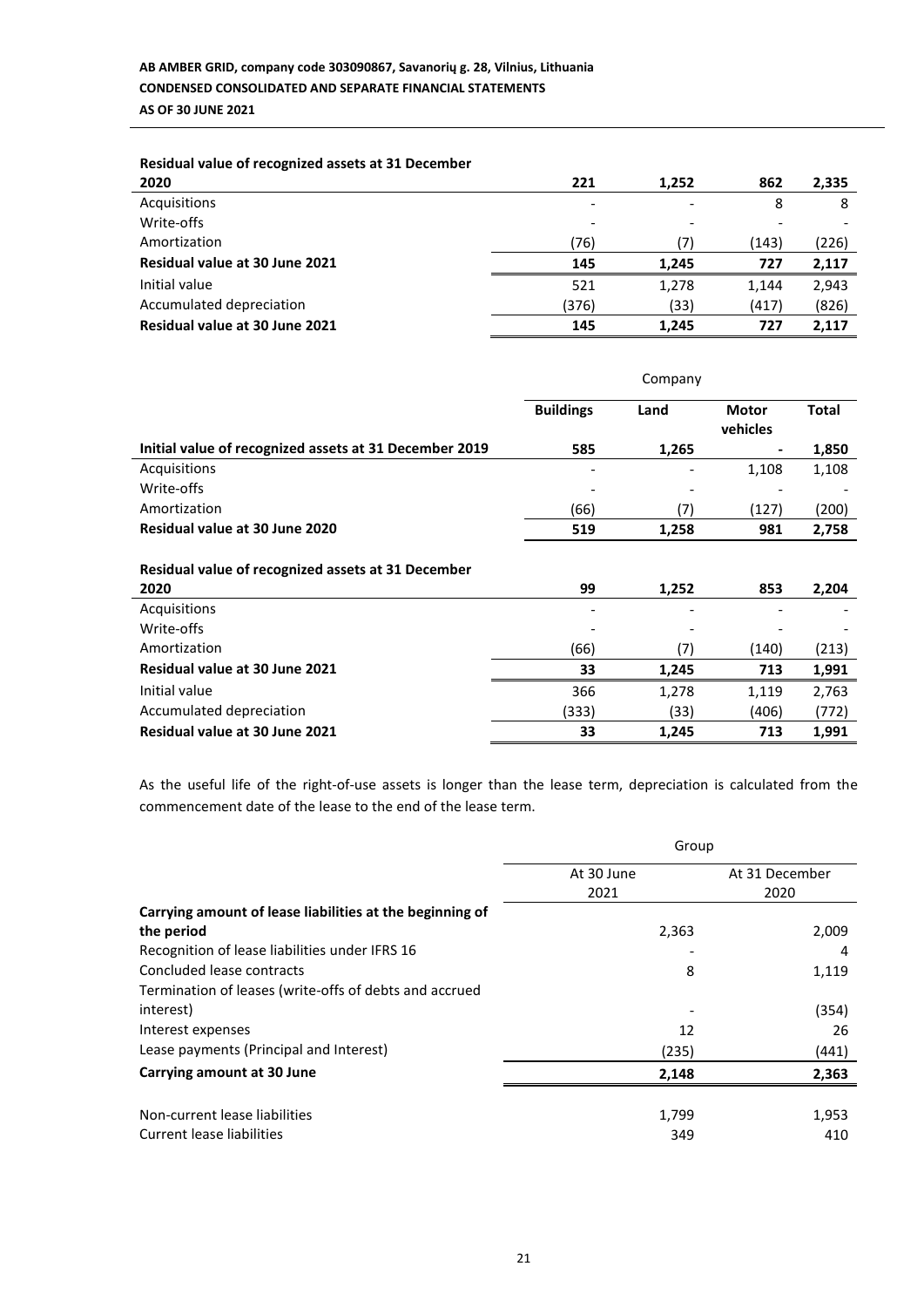| Residual value of recognized assets at 31 December |       |       |       |       |
|----------------------------------------------------|-------|-------|-------|-------|
| 2020                                               | 221   | 1,252 | 862   | 2,335 |
| Acquisitions                                       |       |       | 8     | 8     |
| Write-offs                                         |       |       |       |       |
| Amortization                                       | (76)  | 7)    | (143) | (226) |
| <b>Residual value at 30 June 2021</b>              | 145   | 1.245 | 727   | 2,117 |
| Initial value                                      | 521   | 1,278 | 1,144 | 2,943 |
| Accumulated depreciation                           | (376) | (33)  | (417) | (826) |
| <b>Residual value at 30 June 2021</b>              | 145   | 1.245 | 727   | 2.117 |

|                                                            | Company          |       |                          |              |
|------------------------------------------------------------|------------------|-------|--------------------------|--------------|
|                                                            | <b>Buildings</b> | Land  | <b>Motor</b><br>vehicles | <b>Total</b> |
| Initial value of recognized assets at 31 December 2019     | 585              | 1,265 |                          | 1,850        |
| Acquisitions                                               |                  |       | 1,108                    | 1,108        |
| Write-offs                                                 |                  |       |                          |              |
| Amortization                                               | (66)             | (7)   | (127)                    | (200)        |
| Residual value at 30 June 2020                             | 519              | 1,258 | 981                      | 2,758        |
| Residual value of recognized assets at 31 December<br>2020 | 99               | 1,252 | 853                      | 2,204        |
| Acquisitions                                               |                  |       |                          |              |
| Write-offs                                                 |                  |       |                          |              |
| Amortization                                               | (66)             | (7)   | (140)                    | (213)        |
| Residual value at 30 June 2021                             | 33               | 1,245 | 713                      | 1,991        |
| Initial value                                              | 366              | 1,278 | 1,119                    | 2,763        |
| Accumulated depreciation                                   | (333)            | (33)  | (406)                    | (772)        |
| Residual value at 30 June 2021                             | 33               | 1,245 | 713                      | 1,991        |

As the useful life of the right-of-use assets is longer than the lease term, depreciation is calculated from the commencement date of the lease to the end of the lease term.

|                                                          | Group      |                |  |
|----------------------------------------------------------|------------|----------------|--|
|                                                          | At 30 June | At 31 December |  |
|                                                          | 2021       | 2020           |  |
| Carrying amount of lease liabilities at the beginning of |            |                |  |
| the period                                               | 2,363      | 2,009          |  |
| Recognition of lease liabilities under IFRS 16           |            | 4              |  |
| Concluded lease contracts                                | 8          | 1,119          |  |
| Termination of leases (write-offs of debts and accrued   |            |                |  |
| interest)                                                |            | (354)          |  |
| Interest expenses                                        | 12         | 26             |  |
| Lease payments (Principal and Interest)                  | (235)      | (441)          |  |
| Carrying amount at 30 June                               | 2,148      | 2,363          |  |
|                                                          |            |                |  |
| Non-current lease liabilities                            | 1,799      | 1,953          |  |
| Current lease liabilities                                | 349        | 410            |  |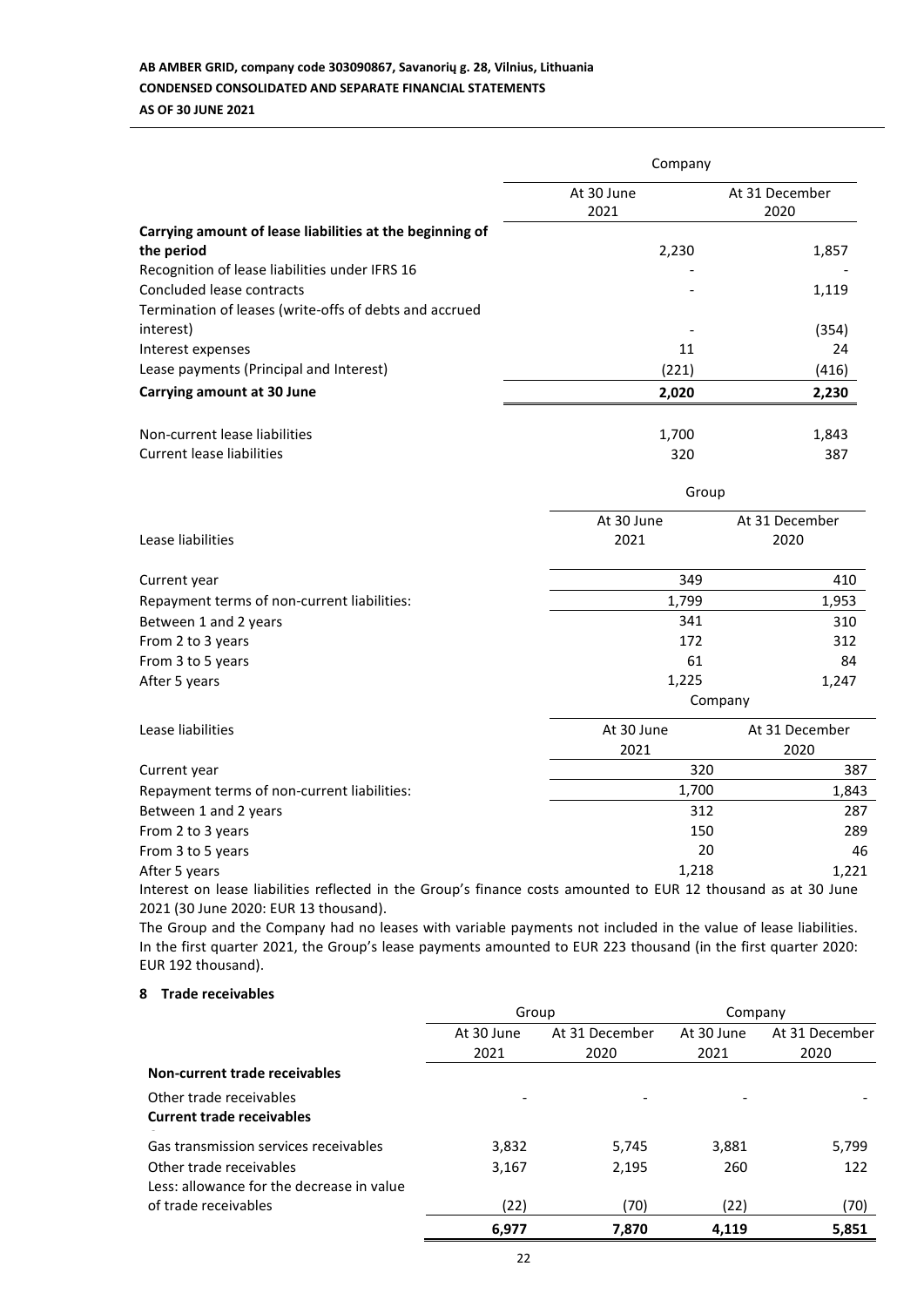## **AB AMBER GRID, company code 303090867, Savanorių g. 28, Vilnius, Lithuania CONDENSED CONSOLIDATED AND SEPARATE FINANCIAL STATEMENTS AS OF 30 JUNE 2021**

|                                                                                                                                       | Company            |                                      |  |  |
|---------------------------------------------------------------------------------------------------------------------------------------|--------------------|--------------------------------------|--|--|
|                                                                                                                                       | At 30 June<br>2021 | At 31 December<br>2020               |  |  |
| Carrying amount of lease liabilities at the beginning of<br>the period                                                                | 2,230              | 1,857                                |  |  |
| Recognition of lease liabilities under IFRS 16<br>Concluded lease contracts<br>Termination of leases (write-offs of debts and accrued |                    | 1,119                                |  |  |
| interest)                                                                                                                             |                    | (354)                                |  |  |
| Interest expenses                                                                                                                     | 11                 | 24                                   |  |  |
| Lease payments (Principal and Interest)                                                                                               | (221)              | (416)                                |  |  |
| <b>Carrying amount at 30 June</b>                                                                                                     | 2,020              | 2,230                                |  |  |
| Non-current lease liabilities                                                                                                         | 1,700              | 1,843                                |  |  |
| <b>Current lease liabilities</b>                                                                                                      | 320                | 387                                  |  |  |
|                                                                                                                                       | Group              |                                      |  |  |
|                                                                                                                                       | At 30 June         | At 31 December                       |  |  |
| Lease liabilities                                                                                                                     | 2021               | 2020                                 |  |  |
| Current year                                                                                                                          | 349                | 410                                  |  |  |
| Repayment terms of non-current liabilities:                                                                                           | 1,799              | 1,953                                |  |  |
| Between 1 and 2 years                                                                                                                 | 341                | 310                                  |  |  |
| From 2 to 3 years                                                                                                                     | 172                | 312                                  |  |  |
| From 3 to 5 years                                                                                                                     | 61                 | 84                                   |  |  |
| After 5 years                                                                                                                         | 1,225              | 1,247<br>Company                     |  |  |
| Lease liabilities                                                                                                                     | At 30 June         | At 31 December                       |  |  |
|                                                                                                                                       | 2021               | 2020                                 |  |  |
| Current year                                                                                                                          |                    | 320<br>387                           |  |  |
| Repayment terms of non-current liabilities:                                                                                           | 1,700              | 1,843                                |  |  |
| Between 1 and 2 years                                                                                                                 |                    | 312<br>287                           |  |  |
| From 2 to 3 years                                                                                                                     |                    | 150<br>289                           |  |  |
| From 3 to 5 years                                                                                                                     |                    | 20<br>46                             |  |  |
| After 5 years<br><b>Contract Contract Contract Contract</b>                                                                           | 1,218<br>F115.45   | 1,221<br>$\sim$ $\sim$ $\sim$ $\sim$ |  |  |

Interest on lease liabilities reflected in the Group's finance costs amounted to EUR 12 thousand as at 30 June 2021 (30 June 2020: EUR 13 thousand).

The Group and the Company had no leases with variable payments not included in the value of lease liabilities. In the first quarter 2021, the Group's lease payments amounted to EUR 223 thousand (in the first quarter 2020: EUR 192 thousand).

## **8 Trade receivables**

|                                                                      | Group      |                | Company    |                |
|----------------------------------------------------------------------|------------|----------------|------------|----------------|
|                                                                      | At 30 June | At 31 December | At 30 June | At 31 December |
|                                                                      | 2021       | 2020           | 2021       | 2020           |
| Non-current trade receivables                                        |            |                |            |                |
| Other trade receivables<br><b>Current trade receivables</b>          |            |                |            |                |
| Gas transmission services receivables                                | 3,832      | 5,745          | 3,881      | 5,799          |
| Other trade receivables<br>Less: allowance for the decrease in value | 3,167      | 2,195          | 260        | 122            |
| of trade receivables                                                 | (22)       | (70)           | (22)       | (70)           |
|                                                                      | 6,977      | 7.870          | 4.119      | 5,851          |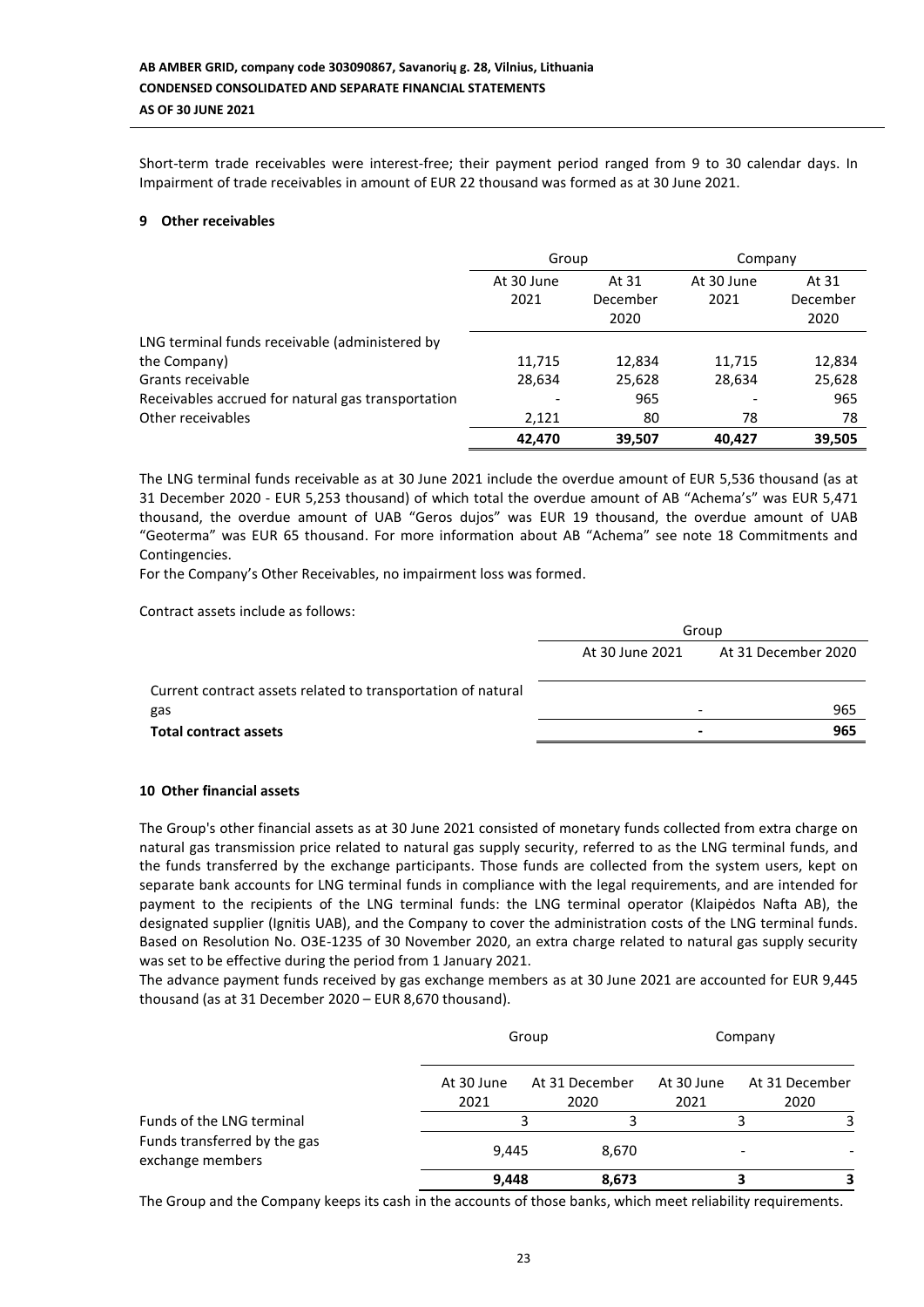Short-term trade receivables were interest-free; their payment period ranged from 9 to 30 calendar days. In Impairment of trade receivables in amount of EUR 22 thousand was formed as at 30 June 2021.

## **9 Other receivables**

|                                                    | Group      |          | Company    |          |
|----------------------------------------------------|------------|----------|------------|----------|
|                                                    | At 30 June | At 31    | At 30 June | At 31    |
|                                                    | 2021       | December | 2021       | December |
|                                                    |            | 2020     |            | 2020     |
| LNG terminal funds receivable (administered by     |            |          |            |          |
| the Company)                                       | 11,715     | 12,834   | 11,715     | 12,834   |
| Grants receivable                                  | 28,634     | 25,628   | 28,634     | 25,628   |
| Receivables accrued for natural gas transportation |            | 965      |            | 965      |
| Other receivables                                  | 2,121      | 80       | 78         | 78       |
|                                                    | 42.470     | 39.507   | 40.427     | 39,505   |

The LNG terminal funds receivable as at 30 June 2021 include the overdue amount of EUR 5,536 thousand (as at 31 December 2020 - EUR 5,253 thousand) of which total the overdue amount of AB "Achema's" was EUR 5,471 thousand, the overdue amount of UAB "Geros dujos" was EUR 19 thousand, the overdue amount of UAB "Geoterma" was EUR 65 thousand. For more information about AB "Achema" see note 18 Commitments and Contingencies.

For the Company's Other Receivables, no impairment loss was formed.

Contract assets include as follows:

|                                                              | Group           |                     |  |
|--------------------------------------------------------------|-----------------|---------------------|--|
|                                                              | At 30 June 2021 | At 31 December 2020 |  |
| Current contract assets related to transportation of natural |                 |                     |  |
| gas                                                          |                 | 965                 |  |
| <b>Total contract assets</b>                                 |                 | 965<br>$\,$         |  |
|                                                              |                 |                     |  |

## **10 Other financial assets**

The Group's other financial assets as at 30 June 2021 consisted of monetary funds collected from extra charge on natural gas transmission price related to natural gas supply security, referred to as the LNG terminal funds, and the funds transferred by the exchange participants. Those funds are collected from the system users, kept on separate bank accounts for LNG terminal funds in compliance with the legal requirements, and are intended for payment to the recipients of the LNG terminal funds: the LNG terminal operator (Klaipėdos Nafta AB), the designated supplier (Ignitis UAB), and the Company to cover the administration costs of the LNG terminal funds. Based on Resolution No. O3E-1235 of 30 November 2020, an extra charge related to natural gas supply security was set to be effective during the period from 1 January 2021.

The advance payment funds received by gas exchange members as at 30 June 2021 are accounted for EUR 9,445 thousand (as at 31 December 2020 – EUR 8,670 thousand).

|                                                  |                    | Group                  |                    | Company                |  |
|--------------------------------------------------|--------------------|------------------------|--------------------|------------------------|--|
|                                                  | At 30 June<br>2021 | At 31 December<br>2020 | At 30 June<br>2021 | At 31 December<br>2020 |  |
| Funds of the LNG terminal                        |                    |                        |                    |                        |  |
| Funds transferred by the gas<br>exchange members | 9,445              | 8,670                  |                    |                        |  |
|                                                  | 9,448              | 8,673                  |                    |                        |  |

The Group and the Company keeps its cash in the accounts of those banks, which meet reliability requirements.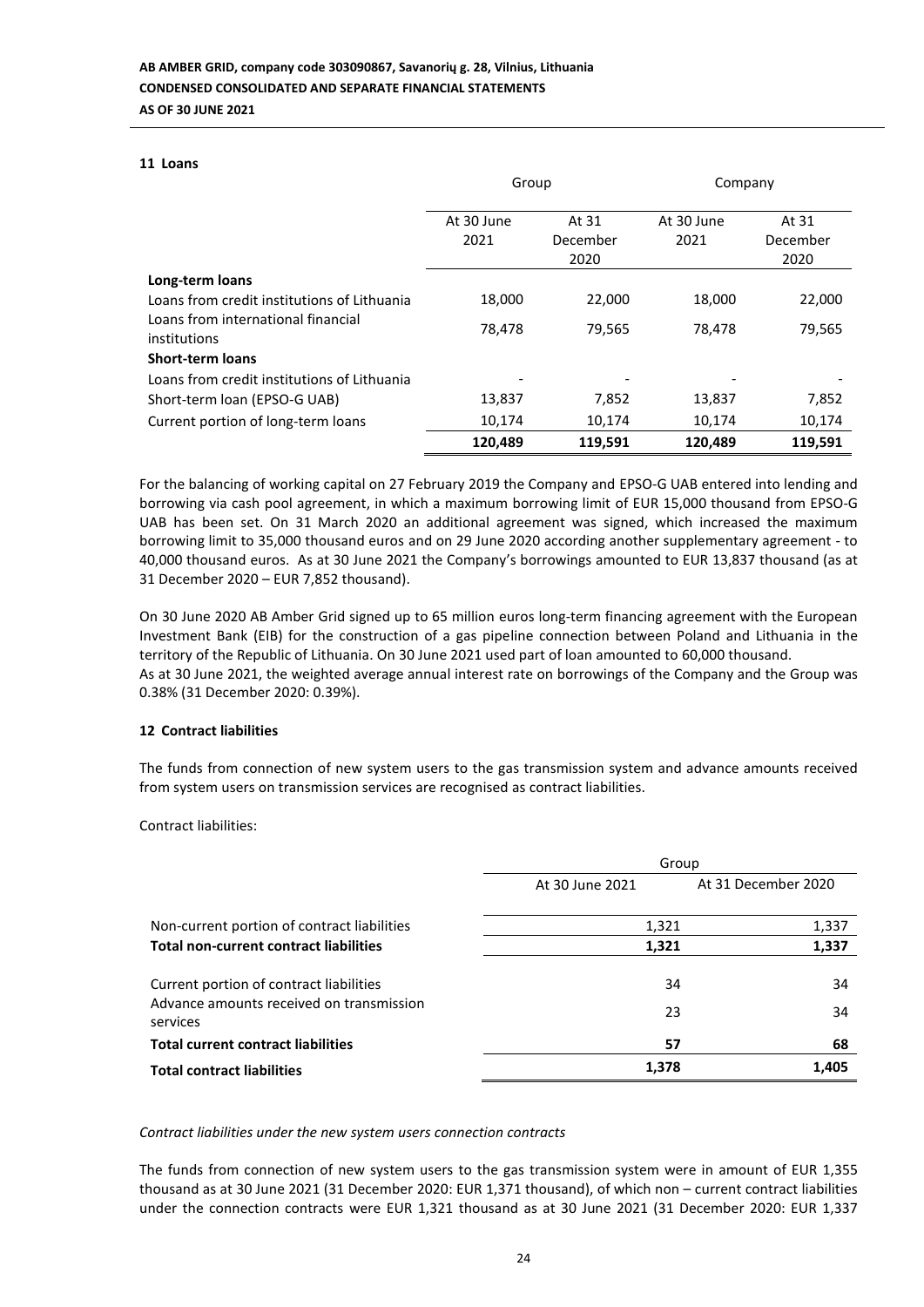## **11 Loans**

|                                                    | Group      |                  | Company    |                  |
|----------------------------------------------------|------------|------------------|------------|------------------|
|                                                    | At 30 June | At 31            | At 30 June | At 31            |
|                                                    | 2021       | December<br>2020 | 2021       | December<br>2020 |
| Long-term loans                                    |            |                  |            |                  |
| Loans from credit institutions of Lithuania        | 18,000     | 22,000           | 18,000     | 22,000           |
| Loans from international financial<br>institutions | 78,478     | 79,565           | 78,478     | 79,565           |
| <b>Short-term loans</b>                            |            |                  |            |                  |
| Loans from credit institutions of Lithuania        |            |                  |            |                  |
| Short-term loan (EPSO-G UAB)                       | 13,837     | 7,852            | 13,837     | 7,852            |
| Current portion of long-term loans                 | 10,174     | 10,174           | 10,174     | 10,174           |
|                                                    | 120,489    | 119,591          | 120,489    | 119,591          |

For the balancing of working capital on 27 February 2019 the Company and EPSO-G UAB entered into lending and borrowing via cash pool agreement, in which a maximum borrowing limit of EUR 15,000 thousand from EPSO-G UAB has been set. On 31 March 2020 an additional agreement was signed, which increased the maximum borrowing limit to 35,000 thousand euros and on 29 June 2020 according another supplementary agreement - to 40,000 thousand euros. As at 30 June 2021 the Company's borrowings amounted to EUR 13,837 thousand (as at 31 December 2020 – EUR 7,852 thousand).

On 30 June 2020 AB Amber Grid signed up to 65 million euros long-term financing agreement with the European Investment Bank (EIB) for the construction of a gas pipeline connection between Poland and Lithuania in the territory of the Republic of Lithuania. On 30 June 2021 used part of loan amounted to 60,000 thousand. As at 30 June 2021, the weighted average annual interest rate on borrowings of the Company and the Group was 0.38% (31 December 2020: 0.39%).

## **12 Contract liabilities**

The funds from connection of new system users to the gas transmission system and advance amounts received from system users on transmission services are recognised as contract liabilities.

Contract liabilities:

|                                                      | Group           |                     |  |
|------------------------------------------------------|-----------------|---------------------|--|
|                                                      | At 30 June 2021 | At 31 December 2020 |  |
| Non-current portion of contract liabilities          | 1,321           | 1,337               |  |
| <b>Total non-current contract liabilities</b>        | 1,321           | 1,337               |  |
| Current portion of contract liabilities              | 34              | 34                  |  |
| Advance amounts received on transmission<br>services | 23              | 34                  |  |
| <b>Total current contract liabilities</b>            | 57              | 68                  |  |
| <b>Total contract liabilities</b>                    | 1,378           | 1,405               |  |

## *Contract liabilities under the new system users connection contracts*

The funds from connection of new system users to the gas transmission system were in amount of EUR 1,355 thousand as at 30 June 2021 (31 December 2020: EUR 1,371 thousand), of which non – current contract liabilities under the connection contracts were EUR 1,321 thousand as at 30 June 2021 (31 December 2020: EUR 1,337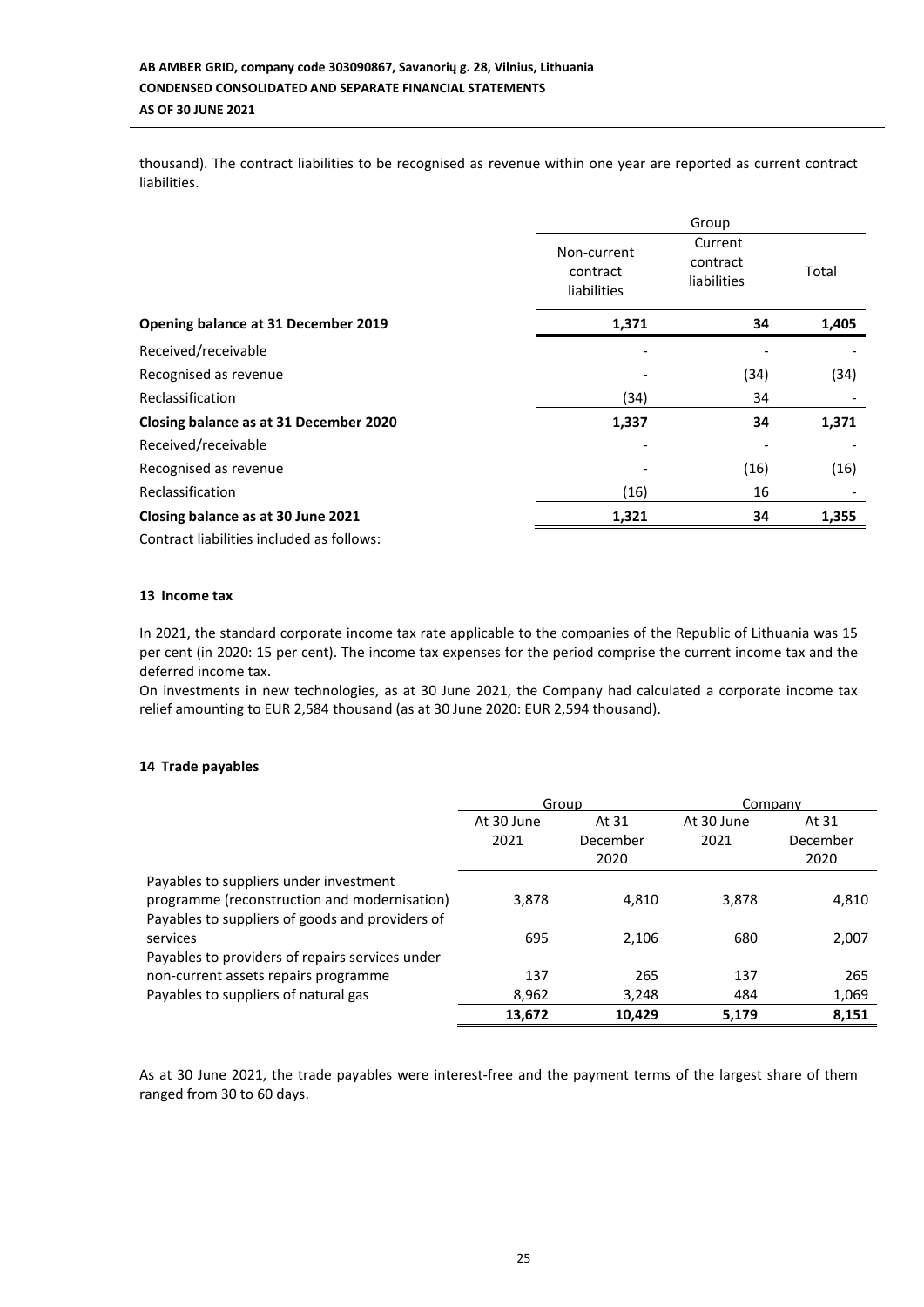thousand). The contract liabilities to be recognised as revenue within one year are reported as current contract liabilities.

|                                        |                                        | Group                              |       |  |  |
|----------------------------------------|----------------------------------------|------------------------------------|-------|--|--|
|                                        | Non-current<br>contract<br>liabilities | Current<br>contract<br>liabilities | Total |  |  |
| Opening balance at 31 December 2019    | 1,371                                  | 34                                 | 1,405 |  |  |
| Received/receivable                    |                                        |                                    |       |  |  |
| Recognised as revenue                  |                                        | (34)                               | (34)  |  |  |
| Reclassification                       | (34)                                   | 34                                 |       |  |  |
| Closing balance as at 31 December 2020 | 1,337                                  | 34                                 | 1,371 |  |  |
| Received/receivable                    |                                        |                                    |       |  |  |
| Recognised as revenue                  |                                        | (16)                               | (16)  |  |  |
| Reclassification                       | (16)                                   | 16                                 |       |  |  |
| Closing balance as at 30 June 2021     | 1,321                                  | 34                                 | 1,355 |  |  |
|                                        |                                        |                                    |       |  |  |

Contract liabilities included as follows:

## **13 Income tax**

In 2021, the standard corporate income tax rate applicable to the companies of the Republic of Lithuania was 15 per cent (in 2020: 15 per cent). The income tax expenses for the period comprise the current income tax and the deferred income tax.

On investments in new technologies, as at 30 June 2021, the Company had calculated a corporate income tax relief amounting to EUR 2,584 thousand (as at 30 June 2020: EUR 2,594 thousand).

## **14 Trade payables**

|                                                 | Group      |          |            | Company  |
|-------------------------------------------------|------------|----------|------------|----------|
|                                                 | At 30 June | At 31    | At 30 June | At 31    |
|                                                 | 2021       | December | 2021       | December |
|                                                 |            | 2020     |            | 2020     |
| Payables to suppliers under investment          |            |          |            |          |
| programme (reconstruction and modernisation)    | 3,878      | 4,810    | 3,878      | 4,810    |
| Payables to suppliers of goods and providers of |            |          |            |          |
| services                                        | 695        | 2,106    | 680        | 2,007    |
| Payables to providers of repairs services under |            |          |            |          |
| non-current assets repairs programme            | 137        | 265      | 137        | 265      |
| Payables to suppliers of natural gas            | 8,962      | 3.248    | 484        | 1,069    |
|                                                 | 13,672     | 10,429   | 5,179      | 8,151    |

As at 30 June 2021, the trade payables were interest-free and the payment terms of the largest share of them ranged from 30 to 60 days.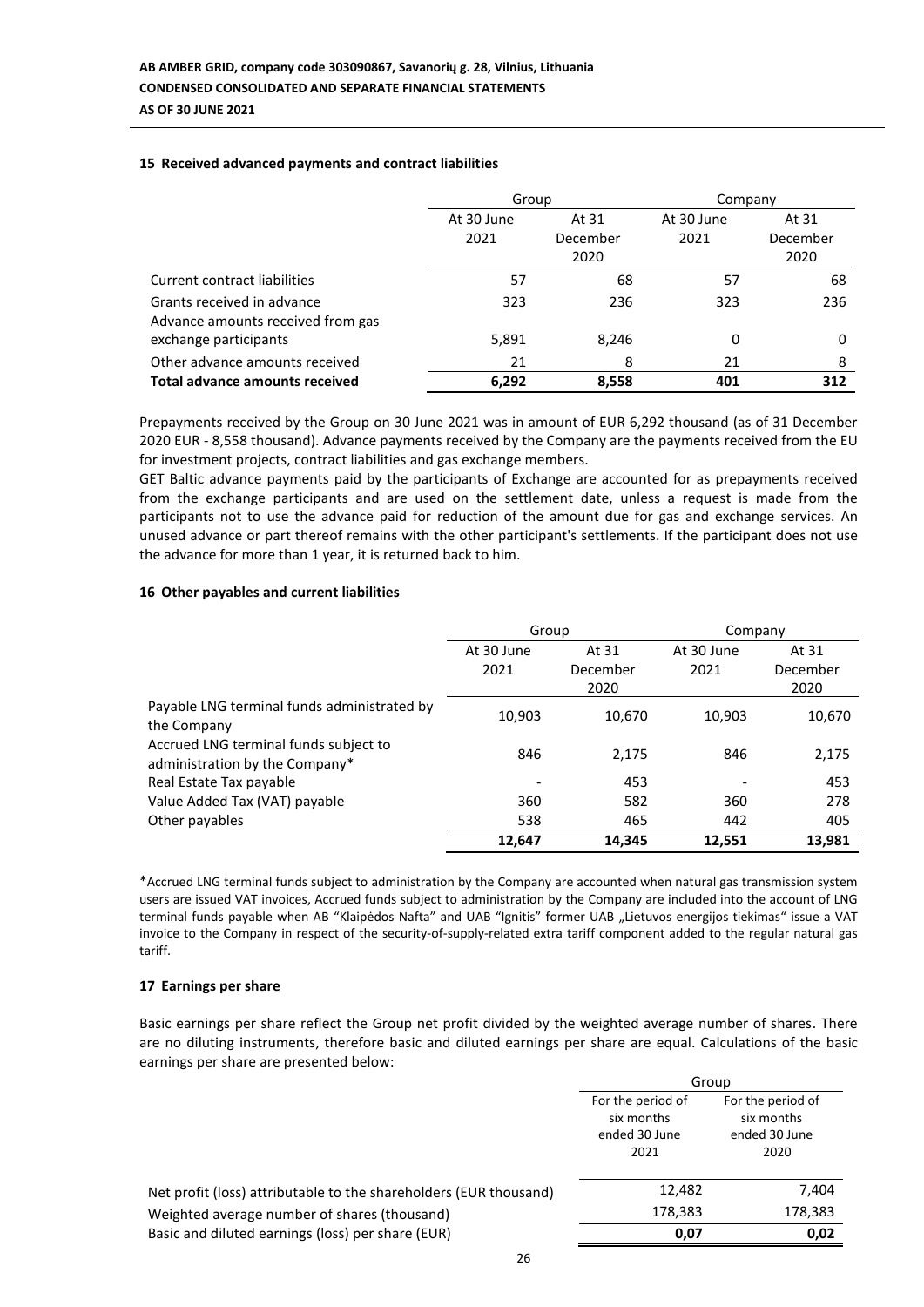## **15 Received advanced payments and contract liabilities**

|                                       | Group      |          | Company    |          |  |
|---------------------------------------|------------|----------|------------|----------|--|
|                                       | At 30 June | At 31    | At 30 June | At 31    |  |
|                                       | 2021       | December | 2021       | December |  |
|                                       |            | 2020     |            | 2020     |  |
| Current contract liabilities          | 57         | 68       | 57         | 68       |  |
| Grants received in advance            | 323        | 236      | 323        | 236      |  |
| Advance amounts received from gas     |            |          |            |          |  |
| exchange participants                 | 5,891      | 8,246    | 0          | 0        |  |
| Other advance amounts received        | 21         | 8        | 21         | 8        |  |
| <b>Total advance amounts received</b> | 6,292      | 8,558    | 401        | 312      |  |

Prepayments received by the Group on 30 June 2021 was in amount of EUR 6,292 thousand (as of 31 December 2020 EUR - 8,558 thousand). Advance payments received by the Company are the payments received from the EU for investment projects, contract liabilities and gas exchange members.

GET Baltic advance payments paid by the participants of Exchange are accounted for as prepayments received from the exchange participants and are used on the settlement date, unless a request is made from the participants not to use the advance paid for reduction of the amount due for gas and exchange services. An unused advance or part thereof remains with the other participant's settlements. If the participant does not use the advance for more than 1 year, it is returned back to him.

## **16 Other payables and current liabilities**

|                                                                         | Group      |          | Company    |          |  |
|-------------------------------------------------------------------------|------------|----------|------------|----------|--|
|                                                                         | At 30 June | At 31    | At 30 June | At 31    |  |
|                                                                         | 2021       | December | 2021       | December |  |
|                                                                         |            | 2020     |            | 2020     |  |
| Payable LNG terminal funds administrated by<br>the Company              | 10,903     | 10,670   | 10,903     | 10,670   |  |
| Accrued LNG terminal funds subject to<br>administration by the Company* | 846        | 2,175    | 846        | 2,175    |  |
| Real Estate Tax payable                                                 |            | 453      |            | 453      |  |
| Value Added Tax (VAT) payable                                           | 360        | 582      | 360        | 278      |  |
| Other payables                                                          | 538        | 465      | 442        | 405      |  |
|                                                                         | 12,647     | 14,345   | 12,551     | 13,981   |  |

\*Accrued LNG terminal funds subject to administration by the Company are accounted when natural gas transmission system users are issued VAT invoices, Accrued funds subject to administration by the Company are included into the account of LNG terminal funds payable when AB "Klaipėdos Nafta" and UAB "Ignitis" former UAB "Lietuvos energijos tiekimas" issue a VAT invoice to the Company in respect of the security-of-supply-related extra tariff component added to the regular natural gas tariff.

#### **17 Earnings per share**

Basic earnings per share reflect the Group net profit divided by the weighted average number of shares. There are no diluting instruments, therefore basic and diluted earnings per share are equal. Calculations of the basic earnings per share are presented below:

 $\sigma$ <sub>s</sub>

|                                                                   | Group                                                    |                                                          |  |  |
|-------------------------------------------------------------------|----------------------------------------------------------|----------------------------------------------------------|--|--|
|                                                                   | For the period of<br>six months<br>ended 30 June<br>2021 | For the period of<br>six months<br>ended 30 June<br>2020 |  |  |
| Net profit (loss) attributable to the shareholders (EUR thousand) | 12,482                                                   | 7,404                                                    |  |  |
| Weighted average number of shares (thousand)                      | 178,383                                                  | 178,383                                                  |  |  |
| Basic and diluted earnings (loss) per share (EUR)                 | 0,07                                                     | 0,02                                                     |  |  |
|                                                                   |                                                          |                                                          |  |  |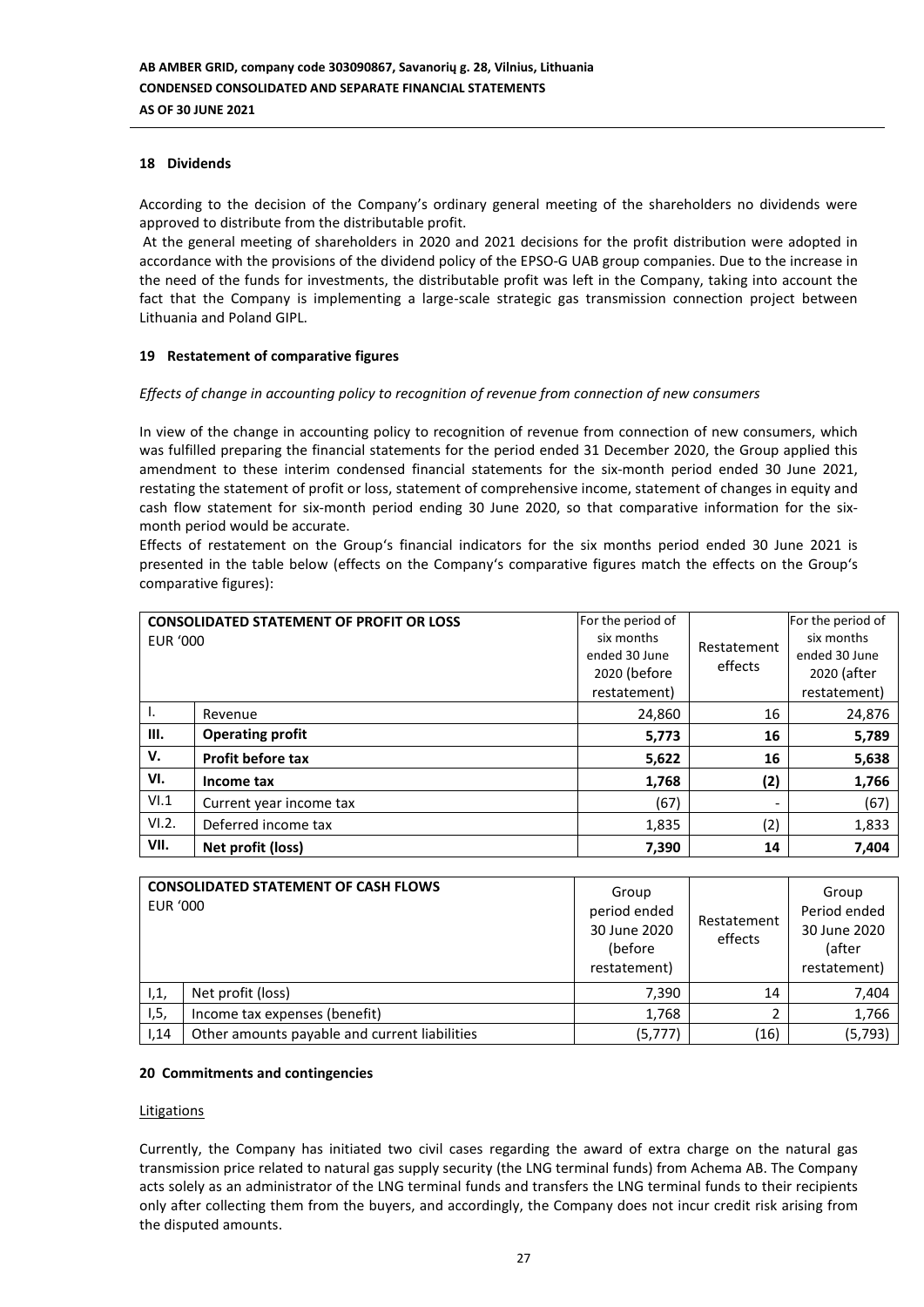## **18 Dividends**

According to the decision of the Company's ordinary general meeting of the shareholders no dividends were approved to distribute from the distributable profit.

At the general meeting of shareholders in 2020 and 2021 decisions for the profit distribution were adopted in accordance with the provisions of the dividend policy of the EPSO-G UAB group companies. Due to the increase in the need of the funds for investments, the distributable profit was left in the Company, taking into account the fact that the Company is implementing a large-scale strategic gas transmission connection project between Lithuania and Poland GIPL.

## **19 Restatement of comparative figures**

## *Effects of change in accounting policy to recognition of revenue from connection of new consumers*

In view of the change in accounting policy to recognition of revenue from connection of new consumers, which was fulfilled preparing the financial statements for the period ended 31 December 2020, the Group applied this amendment to these interim condensed financial statements for the six-month period ended 30 June 2021, restating the statement of profit or loss, statement of comprehensive income, statement of changes in equity and cash flow statement for six-month period ending 30 June 2020, so that comparative information for the sixmonth period would be accurate.

Effects of restatement on the Group's financial indicators for the six months period ended 30 June 2021 is presented in the table below (effects on the Company's comparative figures match the effects on the Group's comparative figures):

| EUR '000 | <b>CONSOLIDATED STATEMENT OF PROFIT OR LOSS</b> | For the period of<br>six months<br>ended 30 June<br>2020 (before<br>restatement) | Restatement<br>effects | For the period of<br>six months<br>ended 30 June<br>2020 (after<br>restatement) |
|----------|-------------------------------------------------|----------------------------------------------------------------------------------|------------------------|---------------------------------------------------------------------------------|
| ۱.       | Revenue                                         | 24,860                                                                           | 16                     | 24,876                                                                          |
| III.     | <b>Operating profit</b>                         | 5,773                                                                            | 16                     | 5,789                                                                           |
| V.       | <b>Profit before tax</b>                        | 5,622                                                                            | 16                     | 5,638                                                                           |
| VI.      | Income tax                                      | 1,768                                                                            | (2)                    | 1,766                                                                           |
| VI.1     | Current year income tax                         | (67)                                                                             |                        | (67)                                                                            |
| VI.2.    | Deferred income tax                             | 1,835                                                                            | (2)                    | 1,833                                                                           |
| VII.     | Net profit (loss)                               | 7,390                                                                            | 14                     | 7,404                                                                           |

| <b>EUR '000</b> | <b>CONSOLIDATED STATEMENT OF CASH FLOWS</b>   | Group<br>period ended<br>30 June 2020<br>(before<br>restatement) | Restatement<br>effects | Group<br>Period ended<br>30 June 2020<br>(after<br>restatement) |
|-----------------|-----------------------------------------------|------------------------------------------------------------------|------------------------|-----------------------------------------------------------------|
| ۱,1,            | Net profit (loss)                             | 7,390                                                            | 14                     | 7,404                                                           |
| 1, 5,           | Income tax expenses (benefit)                 | 1,768                                                            |                        | 1,766                                                           |
| 1,14            | Other amounts payable and current liabilities | (5, 777)                                                         | (16)                   | (5, 793)                                                        |

#### **20 Commitments and contingencies**

#### **Litigations**

Currently, the Company has initiated two civil cases regarding the award of extra charge on the natural gas transmission price related to natural gas supply security (the LNG terminal funds) from Achema AB. The Company acts solely as an administrator of the LNG terminal funds and transfers the LNG terminal funds to their recipients only after collecting them from the buyers, and accordingly, the Company does not incur credit risk arising from the disputed amounts.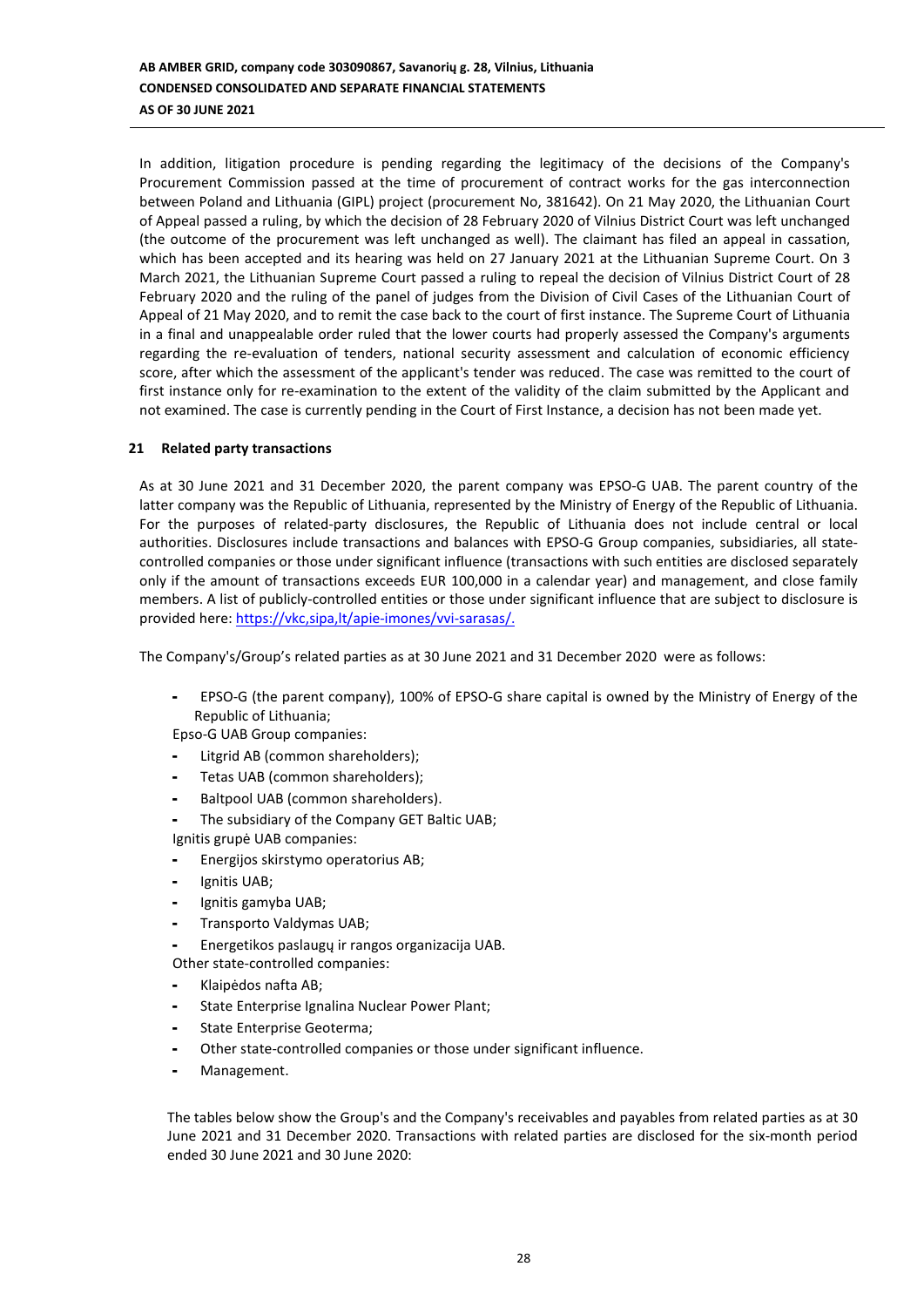In addition, litigation procedure is pending regarding the legitimacy of the decisions of the Company's Procurement Commission passed at the time of procurement of contract works for the gas interconnection between Poland and Lithuania (GIPL) project (procurement No, 381642). On 21 May 2020, the Lithuanian Court of Appeal passed a ruling, by which the decision of 28 February 2020 of Vilnius District Court was left unchanged (the outcome of the procurement was left unchanged as well). The claimant has filed an appeal in cassation, which has been accepted and its hearing was held on 27 January 2021 at the Lithuanian Supreme Court. On 3 March 2021, the Lithuanian Supreme Court passed a ruling to repeal the decision of Vilnius District Court of 28 February 2020 and the ruling of the panel of judges from the Division of Civil Cases of the Lithuanian Court of Appeal of 21 May 2020, and to remit the case back to the court of first instance. The Supreme Court of Lithuania in a final and unappealable order ruled that the lower courts had properly assessed the Company's arguments regarding the re-evaluation of tenders, national security assessment and calculation of economic efficiency score, after which the assessment of the applicant's tender was reduced. The case was remitted to the court of first instance only for re-examination to the extent of the validity of the claim submitted by the Applicant and not examined. The case is currently pending in the Court of First Instance, a decision has not been made yet.

## **21 Related party transactions**

As at 30 June 2021 and 31 December 2020, the parent company was EPSO-G UAB. The parent country of the latter company was the Republic of Lithuania, represented by the Ministry of Energy of the Republic of Lithuania. For the purposes of related-party disclosures, the Republic of Lithuania does not include central or local authorities. Disclosures include transactions and balances with EPSO-G Group companies, subsidiaries, all statecontrolled companies or those under significant influence (transactions with such entities are disclosed separately only if the amount of transactions exceeds EUR 100,000 in a calendar year) and management, and close family members. A list of publicly-controlled entities or those under significant influence that are subject to disclosure is provided here: [https://vkc,sipa,lt/apie-imones/vvi-sarasas/.](https://vkc.sipa.lt/apie-imones/vvi-sarasas/)

The Company's/Group's related parties as at 30 June 2021 and 31 December 2020 were as follows:

- EPSO-G (the parent company), 100% of EPSO-G share capital is owned by the Ministry of Energy of the Republic of Lithuania;

Epso-G UAB Group companies:

- Litgrid AB (common shareholders);
- Tetas UAB (common shareholders);
- Baltpool UAB (common shareholders).
- The subsidiary of the Company GET Baltic UAB;
- Ignitis grupė UAB companies:
- Energijos skirstymo operatorius AB;
- Ignitis UAB;
- Ignitis gamyba UAB;
- Transporto Valdymas UAB;
- Energetikos paslaugų ir rangos organizacija UAB.

Other state-controlled companies:

- Klaipėdos nafta AB;
- State Enterprise Ignalina Nuclear Power Plant;
- State Enterprise Geoterma;
- Other state-controlled companies or those under significant influence.
- Management.

The tables below show the Group's and the Company's receivables and payables from related parties as at 30 June 2021 and 31 December 2020. Transactions with related parties are disclosed for the six-month period ended 30 June 2021 and 30 June 2020: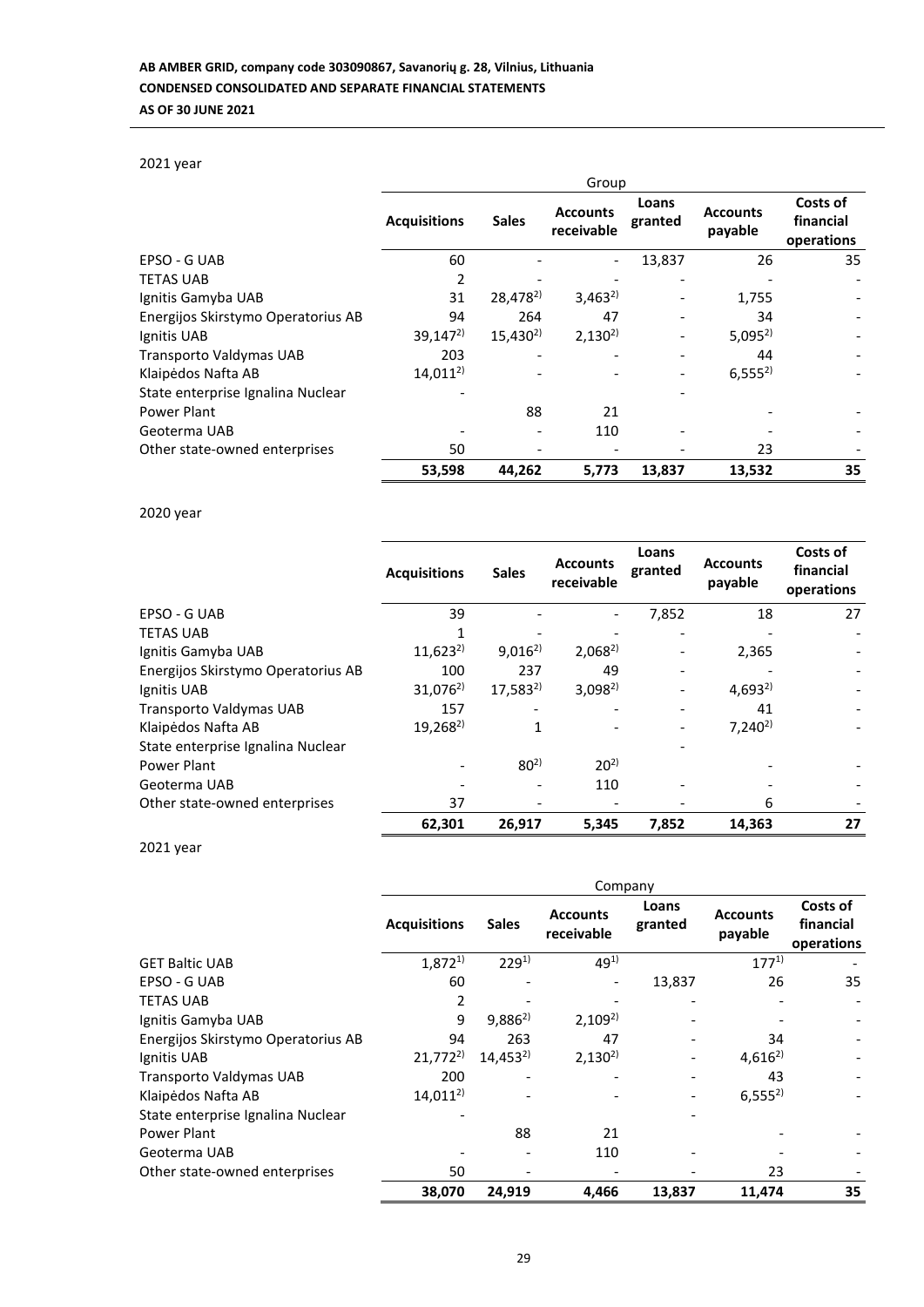## 2021 year

|                                    | Group               |                      |                               |                  |                            |                                     |
|------------------------------------|---------------------|----------------------|-------------------------------|------------------|----------------------------|-------------------------------------|
|                                    | <b>Acquisitions</b> | <b>Sales</b>         | <b>Accounts</b><br>receivable | Loans<br>granted | <b>Accounts</b><br>payable | Costs of<br>financial<br>operations |
| EPSO - G UAB                       | 60                  |                      |                               | 13,837           | 26                         | 35                                  |
| <b>TETAS UAB</b>                   | 2                   |                      |                               |                  |                            |                                     |
| Ignitis Gamyba UAB                 | 31                  | 28,478 <sup>2)</sup> | $3,463^{2}$                   |                  | 1,755                      |                                     |
| Energijos Skirstymo Operatorius AB | 94                  | 264                  | 47                            |                  | 34                         |                                     |
| Ignitis UAB                        | $39,147^{2}$        | $15,430^{2}$         | $2,130^{2}$                   |                  | $5,095^{2}$                |                                     |
| Transporto Valdymas UAB            | 203                 |                      |                               |                  | 44                         |                                     |
| Klaipėdos Nafta AB                 | $14,011^{2}$        |                      |                               |                  | $6,555^{2}$                |                                     |
| State enterprise Ignalina Nuclear  |                     |                      |                               |                  |                            |                                     |
| Power Plant                        |                     | 88                   | 21                            |                  |                            |                                     |
| Geoterma UAB                       |                     |                      | 110                           |                  |                            |                                     |
| Other state-owned enterprises      | 50                  |                      |                               |                  | 23                         |                                     |
|                                    | 53,598              | 44,262               | 5,773                         | 13,837           | 13,532                     | 35                                  |

## 2020 year

|                                    | <b>Acquisitions</b> | <b>Sales</b> | <b>Accounts</b><br>receivable | Loans<br>granted | <b>Accounts</b><br>payable | Costs of<br>financial<br>operations |
|------------------------------------|---------------------|--------------|-------------------------------|------------------|----------------------------|-------------------------------------|
| EPSO - G UAB                       | 39                  |              |                               | 7,852            | 18                         | 27                                  |
| <b>TETAS UAB</b>                   |                     |              |                               |                  |                            |                                     |
| Ignitis Gamyba UAB                 | $11,623^{2}$        | $9,016^{2}$  | $2,068^{2}$                   |                  | 2,365                      |                                     |
| Energijos Skirstymo Operatorius AB | 100                 | 237          | 49                            |                  |                            |                                     |
| Ignitis UAB                        | $31,076^{2}$        | $17,583^{2}$ | $3,098^{2}$                   |                  | $4,693^{2}$                |                                     |
| Transporto Valdymas UAB            | 157                 |              |                               |                  | 41                         |                                     |
| Klaipėdos Nafta AB                 | $19,268^{2}$        |              |                               |                  | $7,240^{2}$                |                                     |
| State enterprise Ignalina Nuclear  |                     |              |                               |                  |                            |                                     |
| Power Plant                        |                     | $80^{2}$     | $20^{2}$                      |                  |                            |                                     |
| Geoterma UAB                       |                     |              | 110                           |                  |                            |                                     |
| Other state-owned enterprises      | 37                  |              |                               |                  | 6                          |                                     |
|                                    | 62,301              | 26,917       | 5,345                         | 7,852            | 14,363                     | 27                                  |

2021 year

|                                    | Company             |              |                               |                  |                            |                                     |  |
|------------------------------------|---------------------|--------------|-------------------------------|------------------|----------------------------|-------------------------------------|--|
|                                    | <b>Acquisitions</b> | <b>Sales</b> | <b>Accounts</b><br>receivable | Loans<br>granted | <b>Accounts</b><br>payable | Costs of<br>financial<br>operations |  |
| <b>GET Baltic UAB</b>              | $1,872^{1}$         | $229^{1}$    | $49^{1}$                      |                  | $177^{1}$                  |                                     |  |
| EPSO - G UAB                       | 60                  |              |                               | 13,837           | 26                         | 35                                  |  |
| <b>TETAS UAB</b>                   | 2                   |              |                               |                  |                            |                                     |  |
| Ignitis Gamyba UAB                 | 9                   | $9,886^{2}$  | $2,109^{2}$                   |                  |                            |                                     |  |
| Energijos Skirstymo Operatorius AB | 94                  | 263          | 47                            |                  | 34                         |                                     |  |
| Ignitis UAB                        | $21,772^{2}$        | $14,453^{2}$ | $2,130^{2}$                   |                  | $4,616^{2}$                |                                     |  |
| Transporto Valdymas UAB            | 200                 |              |                               |                  | 43                         |                                     |  |
| Klaipėdos Nafta AB                 | $14,011^{2}$        |              |                               |                  | $6,555^{2}$                |                                     |  |
| State enterprise Ignalina Nuclear  |                     |              |                               |                  |                            |                                     |  |
| Power Plant                        |                     | 88           | 21                            |                  |                            |                                     |  |
| Geoterma UAB                       |                     |              | 110                           |                  |                            |                                     |  |
| Other state-owned enterprises      | 50                  |              |                               |                  | 23                         |                                     |  |
|                                    | 38,070              | 24,919       | 4,466                         | 13,837           | 11,474                     | 35                                  |  |